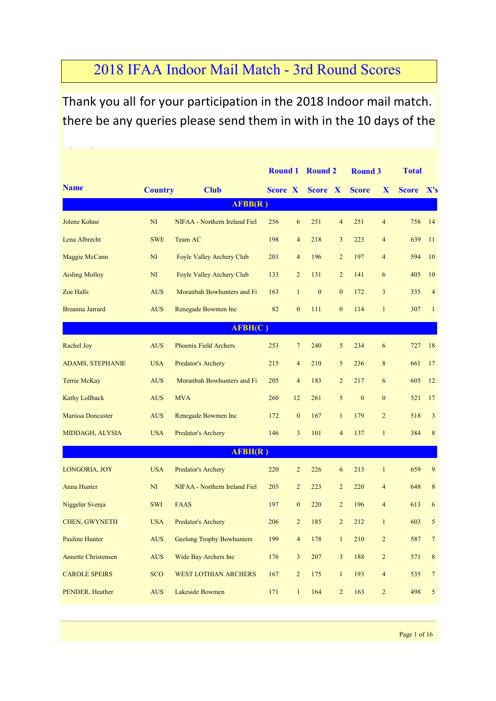## 2018 IFAA Indoor Mail Match - 3rd Round Scores

Thank you all for your participation in the 2018 Indoor mail match. there be any queries please send them in with in the 10 days of the

|                            |                |                                  | <b>Round 1</b> |                | <b>Round 2</b> |                  | <b>Round 3</b> |                | <b>Total</b> |                 |
|----------------------------|----------------|----------------------------------|----------------|----------------|----------------|------------------|----------------|----------------|--------------|-----------------|
| <b>Name</b>                | <b>Country</b> | <b>Club</b>                      | <b>Score X</b> |                | Score X        |                  | <b>Score</b>   | X              | Score X's    |                 |
|                            |                | AFBB(R)                          |                |                |                |                  |                |                |              |                 |
| Jolene Kohne               | N <sub>I</sub> | NIFAA - Northern Ireland Fiel    | 256            | 6              | 251            | $\overline{4}$   | 251            | $\overline{4}$ | 758          | 14              |
| Lena Albrecht              | <b>SWE</b>     | Team AC                          | 198            | $\overline{4}$ | 218            | $\mathfrak{Z}$   | 223            | $\overline{4}$ | 639          | 11              |
| Maggie McCann              | N <sub>I</sub> | Foyle Valley Archery Club        | 201            | $\overline{4}$ | 196            | $\overline{2}$   | 197            | $\overline{4}$ | 594          | 10              |
| <b>Aisling Molloy</b>      | N <sub>I</sub> | Foyle Valley Archery Club        | 133            | $\overline{2}$ | 131            | $\overline{2}$   | 141            | 6              | 405          | 10              |
| Zoe Halls                  | <b>AUS</b>     | Moranbah Bowhunters and Fi       | 163            | $\mathbf{1}$   | $\mathbf{0}$   | $\mathbf{0}$     | 172            | 3              | 335          | $\overline{4}$  |
| Breanna Jarrard            | <b>AUS</b>     | Renegade Bowmen Inc              | 82             | $\mathbf{0}$   | 111            | $\boldsymbol{0}$ | 114            | $\mathbf{1}$   | 307          | $\mathbf{1}$    |
|                            |                | AFBH(C)                          |                |                |                |                  |                |                |              |                 |
| Rachel Joy                 | <b>AUS</b>     | <b>Phoenix Field Archers</b>     | 253            | $\overline{7}$ | 240            | 5                | 234            | 6              | 727          | 18              |
| <b>ADAMS, STEPHANIE</b>    | <b>USA</b>     | Predator's Archery               | 215            | $\overline{4}$ | 210            | 5                | 236            | 8              | 661          | 17              |
| <b>Terrie McKay</b>        | <b>AUS</b>     | Moranbah Bowhunters and Fi       | 205            | $\overline{4}$ | 183            | $\overline{2}$   | 217            | 6              | 605          | 12              |
| <b>Kathy Lollback</b>      | <b>AUS</b>     | <b>MVA</b>                       | 260            | 12             | 261            | 5                | $\mathbf{0}$   | $\mathbf{0}$   | 521          | 17              |
| <b>Marissa Doncaster</b>   | <b>AUS</b>     | Renegade Bowmen Inc              | 172            | $\mathbf{0}$   | 167            | $\mathbf{1}$     | 179            | $\overline{2}$ | 518          | 3               |
| MIDDAGH, ALYSIA            | <b>USA</b>     | Predator's Archery               | 146            | $\mathfrak{Z}$ | 101            | $\overline{4}$   | 137            | $\mathbf{1}$   | 384          | 8               |
|                            |                | AFBH(R)                          |                |                |                |                  |                |                |              |                 |
| LONGORIA, JOY              | <b>USA</b>     | Predator's Archery               | 220            | $\overline{2}$ | 226            | 6                | 213            | $\mathbf{1}$   | 659          | 9               |
| <b>Anna Hunter</b>         | N <sub>I</sub> | NIFAA - Northern Ireland Fiel    | 205            | $\overline{2}$ | 223            | $\overline{2}$   | 220            | 4              | 648          | 8               |
| Niggeler Svenja            | <b>SWI</b>     | <b>FAAS</b>                      | 197            | $\mathbf{0}$   | 220            | $\overline{2}$   | 196            | $\overline{4}$ | 613          | 6               |
| CHEN, GWYNETH              |                | <b>USA</b> Predator's Archery    | 206            |                | 2 185          | $\overline{2}$   | 212            | $\sim 1$       | 603          | $5\overline{)}$ |
| <b>Pauline Hunter</b>      | <b>AUS</b>     | <b>Geelong Trophy Bowhunters</b> | 199            | $\overline{4}$ | 178            | $\mathbf{1}$     | 210            | $\overline{c}$ | 587          | $\overline{7}$  |
| <b>Annette Christensen</b> | <b>AUS</b>     | <b>Wide Bay Archers Inc</b>      | 176            | $\mathfrak{Z}$ | 207            | $\mathbf{3}$     | 188            | $\overline{c}$ | 571          | $\,8\,$         |
| <b>CAROLE SPEIRS</b>       | <b>SCO</b>     | WEST LOTHIAN ARCHERS             | 167            | $\overline{c}$ | 175            | $\,1$            | 193            | $\overline{4}$ | 535          | $\overline{7}$  |
| PENDER, Heather            | <b>AUS</b>     | Lakeside Bowmen                  | 171            | $\mathbf{1}$   | 164            | $\overline{2}$   | 163            | $\overline{2}$ | 498          | 5               |
|                            |                |                                  |                |                |                |                  |                |                |              |                 |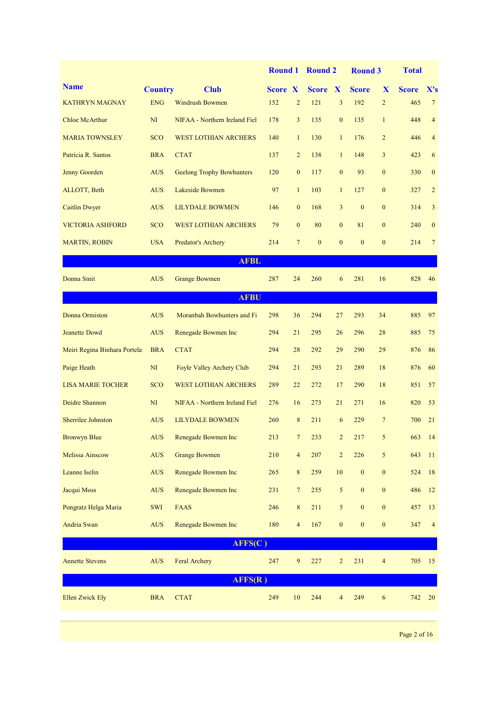|                              |                                  |                                  |                |                | Round 1 Round 2 |                  | <b>Round 3</b>   |                  | <b>Total</b> |                |
|------------------------------|----------------------------------|----------------------------------|----------------|----------------|-----------------|------------------|------------------|------------------|--------------|----------------|
| <b>Name</b>                  | <b>Country</b>                   | <b>Club</b>                      | <b>Score X</b> |                | Score X         |                  | <b>Score</b>     | X                | <b>Score</b> | X's            |
| <b>KATHRYN MAGNAY</b>        | <b>ENG</b>                       | <b>Windrush Bowmen</b>           | 152            | $\overline{2}$ | 121             | 3                | 192              | $\overline{2}$   | 465          | $\tau$         |
| <b>Chloe McArthur</b>        | NI                               | NIFAA - Northern Ireland Fiel    | 178            | 3              | 135             | $\mathbf{0}$     | 135              | $\mathbf{1}$     | 448          | $\overline{4}$ |
| <b>MARIA TOWNSLEY</b>        | <b>SCO</b>                       | <b>WEST LOTHIAN ARCHERS</b>      | 140            | $\mathbf{1}$   | 130             | $\mathbf{1}$     | 176              | $\overline{2}$   | 446          | $\overline{4}$ |
| Patricia R. Santos           | <b>BRA</b>                       | <b>CTAT</b>                      | 137            | $\overline{2}$ | 138             | $\mathbf{1}$     | 148              | 3                | 423          | 6              |
| Jenny Goorden                | <b>AUS</b>                       | <b>Geelong Trophy Bowhunters</b> | 120            | $\mathbf{0}$   | 117             | $\boldsymbol{0}$ | 93               | $\mathbf{0}$     | 330          | $\mathbf{0}$   |
| ALLOTT, Beth                 | <b>AUS</b>                       | Lakeside Bowmen                  | 97             | $\mathbf{1}$   | 103             | $\mathbf{1}$     | 127              | $\mathbf{0}$     | 327          | $\overline{2}$ |
| <b>Caitlin Dwyer</b>         | <b>AUS</b>                       | <b>LILYDALE BOWMEN</b>           | 146            | $\mathbf{0}$   | 168             | 3                | $\mathbf{0}$     | $\mathbf{0}$     | 314          | 3              |
| <b>VICTORIA ASHFORD</b>      | <b>SCO</b>                       | <b>WEST LOTHIAN ARCHERS</b>      | 79             | $\overline{0}$ | 80              | $\mathbf{0}$     | 81               | $\mathbf{0}$     | 240          | $\mathbf{0}$   |
| <b>MARTIN, ROBIN</b>         | <b>USA</b>                       | Predator's Archery               | 214            | 7              | $\mathbf{0}$    | $\mathbf{0}$     | $\mathbf{0}$     | $\mathbf{0}$     | 214          | $\overline{7}$ |
|                              |                                  | <b>AFBL</b>                      |                |                |                 |                  |                  |                  |              |                |
| Donna Smit                   | <b>AUS</b>                       | <b>Grange Bowmen</b>             | 287            | 24             | 260             | 6                | 281              | 16               | 828          | 46             |
|                              |                                  | <b>AFBU</b>                      |                |                |                 |                  |                  |                  |              |                |
| Donna Ormiston               | <b>AUS</b>                       | Moranbah Bowhunters and Fi       | 298            | 36             | 294             | 27               | 293              | 34               | 885          | 97             |
| <b>Jeanette Dowd</b>         | <b>AUS</b>                       | Renegade Bowmen Inc              | 294            | 21             | 295             | 26               | 296              | 28               | 885          | 75             |
| Meiri Regina Binhara Portela | <b>BRA</b>                       | <b>CTAT</b>                      | 294            | 28             | 292             | 29               | 290              | 29               | 876          | 86             |
| Paige Heath                  | N <sub>I</sub>                   | Foyle Valley Archery Club        | 294            | 21             | 293             | 21               | 289              | 18               | 876          | 60             |
| <b>LISA MARIE TOCHER</b>     | <b>SCO</b>                       | <b>WEST LOTHIAN ARCHERS</b>      | 289            | 22             | 272             | 17               | 290              | 18               | 851          | 57             |
| Deidre Shannon               | N <sub>I</sub>                   | NIFAA - Northern Ireland Fiel    | 276            | 16             | 273             | 21               | 271              | 16               | 820          | 53             |
| <b>Sherrilee Johnston</b>    | <b>AUS</b>                       | <b>LILYDALE BOWMEN</b>           | 260            | 8              | 211             | 6                | 229              | $\overline{7}$   | 700          | 21             |
| <b>Bronwyn Blue</b>          | <b>AUS</b>                       | Renegade Bowmen Inc              | 213            | 7              | 233             | $\overline{c}$   | 217              | 5                | 663          | 14             |
| Melissa Ainscow              | $\mathbf{A}\mathbf{U}\mathbf{S}$ | <b>Grange Bowmen</b>             | 210            | $\overline{4}$ | 207             | $\sqrt{2}$       | 226              | $\mathfrak{S}$   | 643          | 11             |
| Leanne Iselin                | <b>AUS</b>                       | Renegade Bowmen Inc              | 265            | 8              | 259             | $10\,$           | $\mathbf{0}$     | $\mathbf{0}$     | 524          | 18             |
| Jacqui Moss                  | <b>AUS</b>                       | Renegade Bowmen Inc              | 231            | $\overline{7}$ | 255             | $5\overline{)}$  | $\boldsymbol{0}$ | $\boldsymbol{0}$ | 486          | 12             |
| Pongratz Helga Maria         | SWI                              | <b>FAAS</b>                      | 246            | $\bf 8$        | 211             | $5\overline{)}$  | $\boldsymbol{0}$ | $\mathbf{0}$     | 457          | 13             |
| Andria Swan                  | <b>AUS</b>                       | Renegade Bowmen Inc              | 180            | $\overline{4}$ | 167             | $\boldsymbol{0}$ | $\boldsymbol{0}$ | $\mathbf{0}$     | 347          | $\overline{4}$ |
|                              |                                  | AFFS(C)                          |                |                |                 |                  |                  |                  |              |                |
| <b>Annette Stevens</b>       | <b>AUS</b>                       | <b>Feral Archery</b>             | 247            | 9              | 227             | $\overline{c}$   | 231              | $\overline{4}$   | 705          | 15             |
|                              |                                  | AFFS(R)                          |                |                |                 |                  |                  |                  |              |                |
| <b>Ellen Zwick Ely</b>       | <b>BRA</b>                       | <b>CTAT</b>                      | 249            | 10             | 244             | 4                | 249              | 6                | 742          | 20             |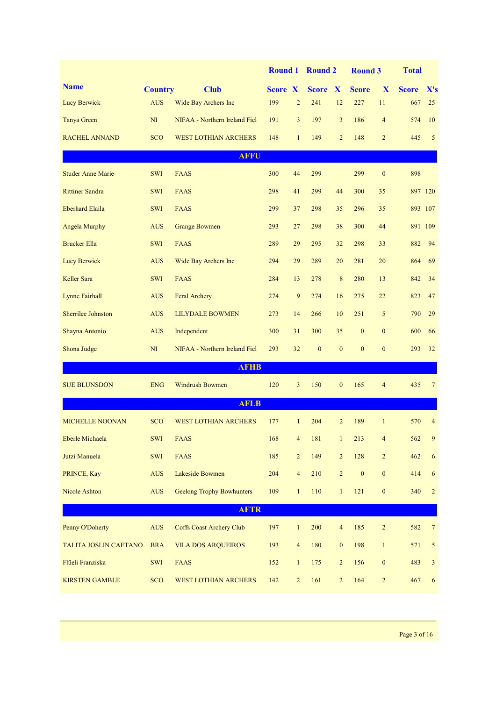|                           |                |                                  | <b>Round 1</b> |                          | <b>Round 2</b> |                  | <b>Round 3</b> |                  | <b>Total</b> |                 |
|---------------------------|----------------|----------------------------------|----------------|--------------------------|----------------|------------------|----------------|------------------|--------------|-----------------|
| <b>Name</b>               | <b>Country</b> | <b>Club</b>                      | <b>Score X</b> |                          | <b>Score X</b> |                  | <b>Score</b>   | X                | <b>Score</b> | X's             |
| Lucy Berwick              | <b>AUS</b>     | Wide Bay Archers Inc             | 199            | $\overline{2}$           | 241            | 12               | 227            | 11               | 667          | 25              |
| <b>Tanya Green</b>        | N <sub>I</sub> | NIFAA - Northern Ireland Fiel    | 191            | 3                        | 197            | 3                | 186            | $\overline{4}$   | 574          | 10              |
| <b>RACHEL ANNAND</b>      | <b>SCO</b>     | <b>WEST LOTHIAN ARCHERS</b>      | 148            | $\mathbf{1}$             | 149            | $\overline{2}$   | 148            | $\overline{2}$   | 445          | 5               |
|                           |                | <b>AFFU</b>                      |                |                          |                |                  |                |                  |              |                 |
| <b>Studer Anne Marie</b>  | <b>SWI</b>     | <b>FAAS</b>                      | 300            | 44                       | 299            |                  | 299            | $\mathbf{0}$     | 898          |                 |
| <b>Rittiner Sandra</b>    | <b>SWI</b>     | <b>FAAS</b>                      | 298            | 41                       | 299            | 44               | 300            | 35               |              | 897 120         |
| <b>Eberhard Elaila</b>    | <b>SWI</b>     | <b>FAAS</b>                      | 299            | 37                       | 298            | 35               | 296            | 35               |              | 893 107         |
| <b>Angela Murphy</b>      | <b>AUS</b>     | <b>Grange Bowmen</b>             | 293            | 27                       | 298            | 38               | 300            | 44               |              | 891 109         |
| <b>Brucker Ella</b>       | <b>SWI</b>     | <b>FAAS</b>                      | 289            | 29                       | 295            | 32               | 298            | 33               | 882          | 94              |
| Lucy Berwick              | <b>AUS</b>     | Wide Bay Archers Inc             | 294            | 29                       | 289            | 20               | 281            | 20               | 864          | 69              |
| Keller Sara               | SWI            | <b>FAAS</b>                      | 284            | 13                       | 278            | 8                | 280            | 13               | 842          | 34              |
| <b>Lynne Fairhall</b>     | <b>AUS</b>     | Feral Archery                    | 274            | 9                        | 274            | 16               | 275            | 22               | 823          | 47              |
| <b>Sherrilee Johnston</b> | <b>AUS</b>     | <b>LILYDALE BOWMEN</b>           | 273            | 14                       | 266            | 10               | 251            | 5                | 790          | 29              |
| Shayna Antonio            | <b>AUS</b>     | Independent                      | 300            | 31                       | 300            | 35               | $\mathbf{0}$   | $\mathbf{0}$     | 600          | 66              |
| Shona Judge               | N <sub>I</sub> | NIFAA - Northern Ireland Fiel    | 293            | 32                       | $\mathbf{0}$   | $\mathbf{0}$     | $\mathbf{0}$   | $\mathbf{0}$     | 293          | 32              |
|                           |                | <b>AFHB</b>                      |                |                          |                |                  |                |                  |              |                 |
| <b>SUE BLUNSDON</b>       | <b>ENG</b>     | <b>Windrush Bowmen</b>           | 120            | 3                        | 150            | $\mathbf{0}$     | 165            | $\overline{4}$   | 435          | $7\phantom{.0}$ |
|                           |                | <b>AFLB</b>                      |                |                          |                |                  |                |                  |              |                 |
| MICHELLE NOONAN           | <b>SCO</b>     | <b>WEST LOTHIAN ARCHERS</b>      | 177            | 1                        | 204            | $\overline{2}$   | 189            | $\mathbf{1}$     | 570          | $\overline{4}$  |
| Eberle Michaela           | <b>SWI</b>     | <b>FAAS</b>                      | 168            | $\overline{\mathcal{A}}$ | 181            | $\,1$            | 213            | $\overline{4}$   | 562          | 9               |
| Jutzi Manuela             | SWI            | <b>FAAS</b>                      | 185            | $\overline{c}$           | 149            | $\overline{c}$   | 128            | $\overline{c}$   | 462          | $\sqrt{6}$      |
| PRINCE, Kay               | <b>AUS</b>     | Lakeside Bowmen                  | 204            | $\overline{4}$           | 210            | $\sqrt{2}$       | $\mathbf{0}$   | $\boldsymbol{0}$ | 414          | $\sqrt{6}$      |
| Nicole Ashton             | <b>AUS</b>     | <b>Geelong Trophy Bowhunters</b> | 109            | $\mathbf{1}$             | 110            | $\mathbf{1}$     | 121            | $\boldsymbol{0}$ | 340          | $\overline{2}$  |
|                           |                | <b>AFTR</b>                      |                |                          |                |                  |                |                  |              |                 |
| Penny O'Doherty           | <b>AUS</b>     | <b>Coffs Coast Archery Club</b>  | 197            | $\mathbf{1}$             | 200            | $\overline{4}$   | 185            | $\overline{c}$   | 582          | $\overline{7}$  |
| TALITA JOSLIN CAETANO     | <b>BRA</b>     | <b>VILA DOS ARQUEIROS</b>        | 193            | $\overline{4}$           | 180            | $\boldsymbol{0}$ | 198            | $\mathbf{1}$     | 571          | 5               |
| Flüeli Franziska          | <b>SWI</b>     | <b>FAAS</b>                      | 152            | $\mathbf{1}$             | 175            | $\overline{2}$   | 156            | $\mathbf{0}$     | 483          | 3               |
| <b>KIRSTEN GAMBLE</b>     | <b>SCO</b>     | <b>WEST LOTHIAN ARCHERS</b>      | 142            | $\overline{c}$           | 161            | $\sqrt{2}$       | 164            | $\overline{c}$   | 467          | 6               |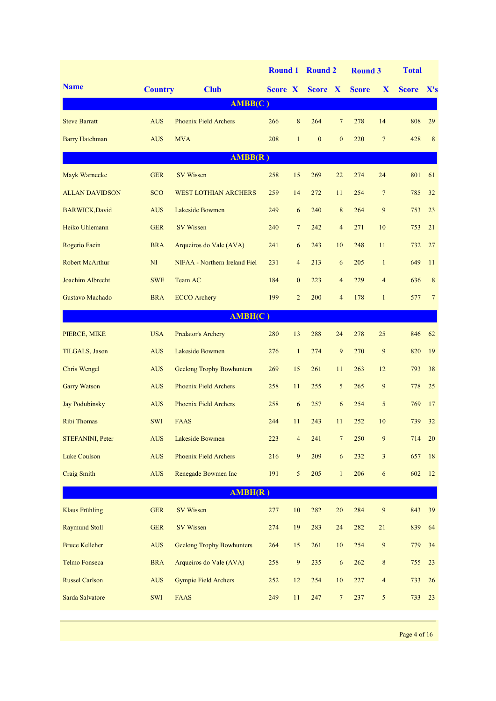|                        |                                  |                                  | <b>Round 1</b> |                | <b>Round 2</b> |                  | <b>Round 3</b> |                          | <b>Total</b> |                 |
|------------------------|----------------------------------|----------------------------------|----------------|----------------|----------------|------------------|----------------|--------------------------|--------------|-----------------|
| <b>Name</b>            | <b>Country</b>                   | <b>Club</b>                      | <b>Score X</b> |                | Score X        |                  | <b>Score</b>   | X                        | <b>Score</b> | X's             |
|                        |                                  | AMBB(C)                          |                |                |                |                  |                |                          |              |                 |
| <b>Steve Barratt</b>   | <b>AUS</b>                       | <b>Phoenix Field Archers</b>     | 266            | 8              | 264            | $\overline{7}$   | 278            | 14                       | 808          | 29              |
| <b>Barry Hatchman</b>  | <b>AUS</b>                       | <b>MVA</b>                       | 208            | $\mathbf{1}$   | $\mathbf{0}$   | $\mathbf{0}$     | 220            | $7\phantom{.0}$          | 428          | 8               |
|                        |                                  | AMBB(R)                          |                |                |                |                  |                |                          |              |                 |
| Mayk Warnecke          | <b>GER</b>                       | <b>SV Wissen</b>                 | 258            | 15             | 269            | 22               | 274            | 24                       | 801          | 61              |
| <b>ALLAN DAVIDSON</b>  | <b>SCO</b>                       | <b>WEST LOTHIAN ARCHERS</b>      | 259            | 14             | 272            | 11               | 254            | $\overline{7}$           | 785          | 32              |
| <b>BARWICK, David</b>  | <b>AUS</b>                       | Lakeside Bowmen                  | 249            | 6              | 240            | 8                | 264            | 9                        | 753          | 23              |
| Heiko Uhlemann         | <b>GER</b>                       | <b>SV Wissen</b>                 | 240            | $\overline{7}$ | 242            | $\overline{4}$   | 271            | 10                       | 753          | 21              |
| Rogerio Facin          | <b>BRA</b>                       | Arqueiros do Vale (AVA)          | 241            | 6              | 243            | 10               | 248            | 11                       | 732          | 27              |
| Robert McArthur        | NI                               | NIFAA - Northern Ireland Fiel    | 231            | $\overline{4}$ | 213            | 6                | 205            | $\mathbf{1}$             | 649          | 11              |
| Joachim Albrecht       | <b>SWE</b>                       | Team AC                          | 184            | $\overline{0}$ | 223            | $\overline{4}$   | 229            | $\overline{\mathcal{A}}$ | 636          | 8               |
| Gustavo Machado        | <b>BRA</b>                       | <b>ECCO</b> Archery              | 199            | $\overline{2}$ | 200            | $\overline{4}$   | 178            | $\mathbf{1}$             | 577          | $7\phantom{.0}$ |
|                        |                                  | AMBH(C)                          |                |                |                |                  |                |                          |              |                 |
| PIERCE, MIKE           | <b>USA</b>                       | Predator's Archery               | 280            | 13             | 288            | 24               | 278            | 25                       | 846          | 62              |
| <b>TILGALS</b> , Jason | <b>AUS</b>                       | Lakeside Bowmen                  | 276            | $\mathbf{1}$   | 274            | $\overline{9}$   | 270            | 9                        | 820          | 19              |
| <b>Chris Wengel</b>    | <b>AUS</b>                       | <b>Geelong Trophy Bowhunters</b> | 269            | 15             | 261            | 11               | 263            | 12                       | 793          | 38              |
| <b>Garry Watson</b>    | <b>AUS</b>                       | Phoenix Field Archers            | 258            | 11             | 255            | 5                | 265            | 9                        | 778          | 25              |
| <b>Jay Podubinsky</b>  | <b>AUS</b>                       | Phoenix Field Archers            | 258            | 6              | 257            | 6                | 254            | 5                        | 769          | 17              |
| Ribi Thomas            | <b>SWI</b>                       | <b>FAAS</b>                      | 244            | 11             | 243            | 11               | 252            | 10                       | 739          | 32              |
| STEFANINI, Peter       | <b>AUS</b>                       | Lakeside Bowmen                  | 223            | 4              | 241            | 7                | 250            | 9                        | 714          | 20              |
| <b>Luke Coulson</b>    | <b>AUS</b>                       | Phoenix Field Archers            | 216            | $\overline{9}$ | 209            | $\sqrt{6}$       | 232            | $\overline{3}$           | 657          | 18              |
| <b>Craig Smith</b>     | <b>AUS</b>                       | Renegade Bowmen Inc              | 191            | 5              | 205            | $\mathbf{1}$     | 206            | 6                        | 602          | 12              |
|                        |                                  | AMBH(R)                          |                |                |                |                  |                |                          |              |                 |
| <b>Klaus Frühling</b>  | <b>GER</b>                       | <b>SV Wissen</b>                 | 277            | $10\,$         | 282            | 20               | 284            | $\overline{9}$           | 843          | 39              |
| <b>Raymund Stoll</b>   | <b>GER</b>                       | <b>SV Wissen</b>                 | 274            | 19             | 283            | 24               | 282            | 21                       | 839          | 64              |
| <b>Bruce Kelleher</b>  | $\mathbf{A}\mathbf{U}\mathbf{S}$ | <b>Geelong Trophy Bowhunters</b> | 264            | 15             | 261            | 10               | 254            | 9                        | 779          | 34              |
| Telmo Fonseca          | <b>BRA</b>                       | Arqueiros do Vale (AVA)          | 258            | 9              | 235            | 6                | 262            | $\,8\,$                  | 755          | 23              |
| <b>Russel Carlson</b>  | <b>AUS</b>                       | <b>Gympie Field Archers</b>      | 252            | 12             | 254            | 10 <sup>10</sup> | 227            | $\overline{4}$           | 733          | 26              |
| Sarda Salvatore        | <b>SWI</b>                       | <b>FAAS</b>                      | 249            | $1\,1$         | 247            | $\tau$           | 237            | 5                        | 733          | 23              |
|                        |                                  |                                  |                |                |                |                  |                |                          |              |                 |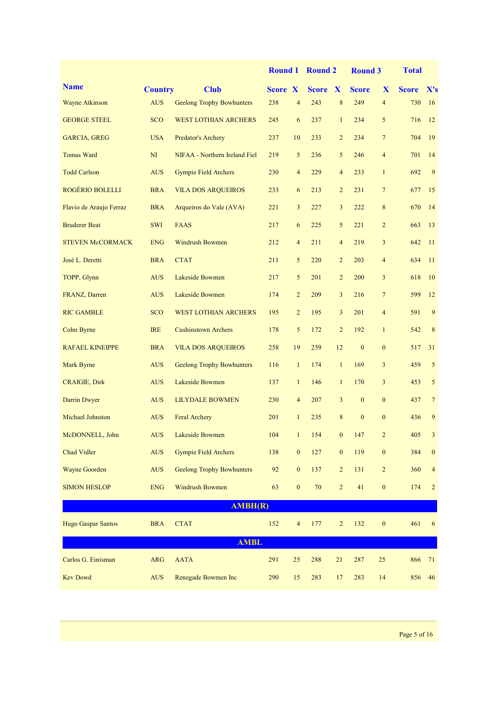|                           |                |                                  |                |                  | <b>Round 1 Round 2</b> |                  | <b>Round 3</b> |                  | <b>Total</b> |                |
|---------------------------|----------------|----------------------------------|----------------|------------------|------------------------|------------------|----------------|------------------|--------------|----------------|
| <b>Name</b>               | <b>Country</b> | <b>Club</b>                      | <b>Score X</b> |                  | <b>Score X</b>         |                  | <b>Score</b>   | X                | <b>Score</b> | X's            |
| <b>Wayne Atkinson</b>     | <b>AUS</b>     | <b>Geelong Trophy Bowhunters</b> | 238            | $\overline{4}$   | 243                    | 8                | 249            | 4                | 730          | 16             |
| <b>GEORGE STEEL</b>       | <b>SCO</b>     | <b>WEST LOTHIAN ARCHERS</b>      | 245            | 6                | 237                    | $\mathbf{1}$     | 234            | 5                | 716          | 12             |
| <b>GARCIA, GREG</b>       | <b>USA</b>     | Predator's Archery               | 237            | 10               | 233                    | $\overline{2}$   | 234            | $\overline{7}$   | 704          | 19             |
| <b>Tomas Ward</b>         | NI             | NIFAA - Northern Ireland Fiel    | 219            | 5                | 236                    | 5                | 246            | 4                | 701          | 14             |
| <b>Todd Carlson</b>       | <b>AUS</b>     | <b>Gympie Field Archers</b>      | 230            | $\overline{4}$   | 229                    | $\overline{4}$   | 233            | $\mathbf{1}$     | 692          | 9              |
| ROGÉRIO BOLELLI           | <b>BRA</b>     | <b>VILA DOS ARQUEIROS</b>        | 233            | 6                | 213                    | $\overline{2}$   | 231            | $\overline{7}$   | 677          | 15             |
| Flavio de Araujo Ferraz   | <b>BRA</b>     | Arqueiros do Vale (AVA)          | 221            | 3                | 227                    | 3                | 222            | 8                | 670          | 14             |
| <b>Bruderer Beat</b>      | <b>SWI</b>     | <b>FAAS</b>                      | 217            | 6                | 225                    | 5                | 221            | $\overline{2}$   | 663          | 13             |
| <b>STEVEN McCORMACK</b>   | <b>ENG</b>     | <b>Windrush Bowmen</b>           | 212            | 4                | 211                    | $\overline{4}$   | 219            | 3                | 642          | 11             |
| José L. Deretti           | <b>BRA</b>     | <b>CTAT</b>                      | 211            | 5                | 220                    | $\overline{2}$   | 203            | 4                | 634          | 11             |
| TOPP, Glynn               | <b>AUS</b>     | Lakeside Bowmen                  | 217            | 5                | 201                    | $\overline{2}$   | 200            | 3                | 618          | 10             |
| FRANZ, Darren             | <b>AUS</b>     | Lakeside Bowmen                  | 174            | $\overline{2}$   | 209                    | $\overline{3}$   | 216            | $\overline{7}$   | 599          | 12             |
| <b>RIC GAMBLE</b>         | <b>SCO</b>     | <b>WEST LOTHIAN ARCHERS</b>      | 195            | $\overline{2}$   | 195                    | $\overline{3}$   | 201            | 4                | 591          | 9              |
| Colm Byrne                | <b>IRE</b>     | <b>Cushinstown Archers</b>       | 178            | 5                | 172                    | $\overline{2}$   | 192            | $\mathbf{1}$     | 542          | 8              |
| <b>RAFAEL KINEIPPE</b>    | <b>BRA</b>     | <b>VILA DOS ARQUEIROS</b>        | 258            | 19               | 259                    | 12               | $\mathbf{0}$   | $\mathbf{0}$     | 517          | 31             |
| Mark Byrne                | <b>AUS</b>     | <b>Geelong Trophy Bowhunters</b> | 116            | $\mathbf{1}$     | 174                    | $\mathbf{1}$     | 169            | 3                | 459          | 5              |
| <b>CRAIGIE, Dirk</b>      | <b>AUS</b>     | Lakeside Bowmen                  | 137            | $\mathbf{1}$     | 146                    | $\mathbf{1}$     | 170            | 3                | 453          | 5              |
| Darrin Dwyer              | <b>AUS</b>     | <b>LILYDALE BOWMEN</b>           | 230            | $\overline{4}$   | 207                    | $\overline{3}$   | $\mathbf{0}$   | $\boldsymbol{0}$ | 437          | $\overline{7}$ |
| <b>Michael Johnston</b>   | <b>AUS</b>     | <b>Feral Archery</b>             | 201            | $\mathbf{1}$     | 235                    | 8                | $\mathbf{0}$   | $\mathbf{0}$     | 436          | 9              |
| McDONNELL, John           |                | AUS Lakeside Bowmen              |                |                  | 104 1 154 0 147        |                  |                | $\overline{2}$   | 405          | $\mathbf{3}$   |
| Chad Vidler               | <b>AUS</b>     | <b>Gympie Field Archers</b>      | 138            | $\bf{0}$         | 127                    | $\boldsymbol{0}$ | 119            | $\boldsymbol{0}$ | 384          | $\bf{0}$       |
| <b>Wayne Goorden</b>      | <b>AUS</b>     | <b>Geelong Trophy Bowhunters</b> | 92             | $\boldsymbol{0}$ | 137                    | $\overline{2}$   | 131            | $\overline{c}$   | 360          | $\overline{4}$ |
| <b>SIMON HESLOP</b>       | <b>ENG</b>     | <b>Windrush Bowmen</b>           | 63             | $\boldsymbol{0}$ | 70                     | $\overline{c}$   | 41             | $\boldsymbol{0}$ | 174          | $\overline{c}$ |
|                           |                | <b>AMBH(R)</b>                   |                |                  |                        |                  |                |                  |              |                |
| <b>Hugo Gaspar Santos</b> | <b>BRA</b>     | <b>CTAT</b>                      | 152            | 4                | 177                    | $\overline{c}$   | 132            | $\boldsymbol{0}$ | 461          | 6              |
|                           |                | <b>AMBL</b>                      |                |                  |                        |                  |                |                  |              |                |
| Carlos G. Einisman        | <b>ARG</b>     | <b>AATA</b>                      | 291            | $25\,$           | 288                    | 21               | 287            | $25\,$           | 866          | 71             |
| <b>Kev Dowd</b>           | <b>AUS</b>     | Renegade Bowmen Inc              | 290            | 15               | 283                    | 17               | 283            | 14               | 856          | 46             |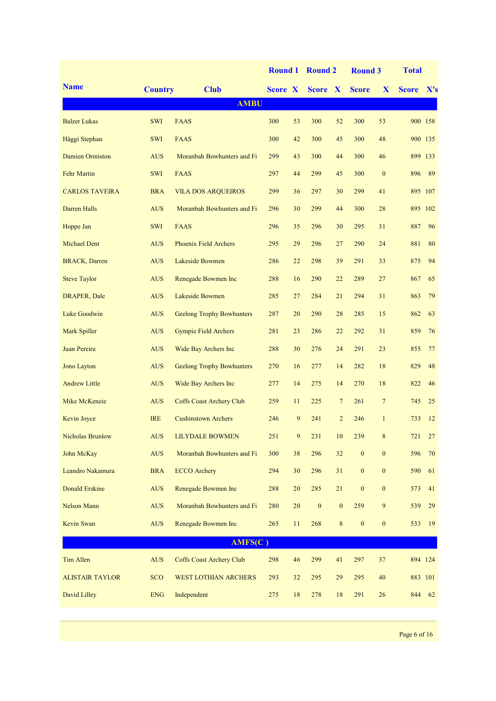|                         |                |                                  | <b>Round 1</b> |    | <b>Round 2</b>   |                  | <b>Round 3</b>     |                  | <b>Total</b> |         |
|-------------------------|----------------|----------------------------------|----------------|----|------------------|------------------|--------------------|------------------|--------------|---------|
| <b>Name</b>             | <b>Country</b> | <b>Club</b>                      | <b>Score X</b> |    | Score X          |                  | <b>Score</b>       | X                | <b>Score</b> | X's     |
|                         |                | <b>AMBU</b>                      |                |    |                  |                  |                    |                  |              |         |
| <b>Balzer Lukas</b>     | <b>SWI</b>     | <b>FAAS</b>                      | 300            | 53 | 300              | 52               | 300                | 53               |              | 900 158 |
| Häggi Stephan           | <b>SWI</b>     | <b>FAAS</b>                      | 300            | 42 | 300              | 45               | 300                | 48               |              | 900 135 |
| <b>Damien Ormiston</b>  | <b>AUS</b>     | Moranbah Bowhunters and Fi       | 299            | 43 | 300              | 44               | 300                | 46               |              | 899 133 |
| <b>Fehr Martin</b>      | <b>SWI</b>     | <b>FAAS</b>                      | 297            | 44 | 299              | 45               | 300                | $\boldsymbol{0}$ | 896          | 89      |
| <b>CARLOS TAVEIRA</b>   | <b>BRA</b>     | <b>VILA DOS ARQUEIROS</b>        | 299            | 36 | 297              | 30               | 299                | 41               |              | 895 107 |
| <b>Darren Halls</b>     | <b>AUS</b>     | Moranbah Bowhunters and Fi       | 296            | 30 | 299              | 44               | 300                | 28               |              | 895 102 |
| Hoppe Jan               | <b>SWI</b>     | <b>FAAS</b>                      | 296            | 35 | 296              | 30               | 295                | 31               | 887          | 96      |
| <b>Michael Dent</b>     | <b>AUS</b>     | Phoenix Field Archers            | 295            | 29 | 296              | 27               | 290                | 24               | 881          | 80      |
| <b>BRACK</b> , Darren   | <b>AUS</b>     | Lakeside Bowmen                  | 286            | 22 | 298              | 39               | 291                | 33               | 875          | 94      |
| <b>Steve Taylor</b>     | <b>AUS</b>     | Renegade Bowmen Inc              | 288            | 16 | 290              | 22               | 289                | 27               | 867          | 65      |
| DRAPER, Dale            | <b>AUS</b>     | Lakeside Bowmen                  | 285            | 27 | 284              | 21               | 294                | 31               | 863          | 79      |
| Luke Goodwin            | <b>AUS</b>     | <b>Geelong Trophy Bowhunters</b> | 287            | 20 | 290              | 28               | 285                | 15               | 862          | 63      |
| Mark Spiller            | <b>AUS</b>     | <b>Gympie Field Archers</b>      | 281            | 23 | 286              | 22               | 292                | 31               | 859          | 76      |
| Juan Pereira            | <b>AUS</b>     | Wide Bay Archers Inc             | 288            | 30 | 276              | 24               | 291                | 23               | 855          | 77      |
| Jono Layton             | <b>AUS</b>     | <b>Geelong Trophy Bowhunters</b> | 270            | 16 | 277              | 14               | 282                | 18               | 829          | 48      |
| <b>Andrew Little</b>    | <b>AUS</b>     | Wide Bay Archers Inc             | 277            | 14 | 275              | 14               | 270                | 18               | 822          | 46      |
| Mike McKenzie           | <b>AUS</b>     | <b>Coffs Coast Archery Club</b>  | 259            | 11 | 225              | $\tau$           | 261                | $\overline{7}$   | 745          | 25      |
| Kevin Joyce             | <b>IRE</b>     | <b>Cushinstown Archers</b>       | 246            | 9  | 241              | $\overline{2}$   | 246                | $\mathbf{1}$     | 733          | 12      |
| <b>Nicholas Brunlow</b> |                | AUS LILYDALE BOWMEN              |                |    |                  |                  | 251 9 231 10 239 8 |                  |              | 721 27  |
| John McKay              | <b>AUS</b>     | Moranbah Bowhunters and Fi       | 300            | 38 | 296              | 32               | $\boldsymbol{0}$   | $\boldsymbol{0}$ | 596          | 70      |
| Leandro Nakamura        | <b>BRA</b>     | <b>ECCO</b> Archery              | 294            | 30 | 296              | 31               | $\boldsymbol{0}$   | $\mathbf{0}$     | 590          | 61      |
| <b>Donald Erskine</b>   | <b>AUS</b>     | Renegade Bowmen Inc              | 288            | 20 | 285              | 21               | $\boldsymbol{0}$   | $\mathbf{0}$     | 573          | 41      |
| <b>Nelson Mann</b>      | <b>AUS</b>     | Moranbah Bowhunters and Fi       | 280            | 20 | $\boldsymbol{0}$ | $\boldsymbol{0}$ | 259                | $\overline{9}$   | 539          | 29      |
| Kevin Swan              | <b>AUS</b>     | Renegade Bowmen Inc              | 265            | 11 | 268              | $\,8\,$          | $\mathbf{0}$       | $\mathbf{0}$     | 533          | 19      |
|                         |                | AMFS(C)                          |                |    |                  |                  |                    |                  |              |         |
| Tim Allen               | <b>AUS</b>     | <b>Coffs Coast Archery Club</b>  | 298            | 46 | 299              | 41               | 297                | 37               |              | 894 124 |
| <b>ALISTAIR TAYLOR</b>  | <b>SCO</b>     | WEST LOTHIAN ARCHERS             | 293            | 32 | 295              | 29               | 295                | 40               |              | 883 101 |
| David Lilley            | <b>ENG</b>     | Independent                      | 275            | 18 | 278              | $18\,$           | 291                | 26               | 844          | 62      |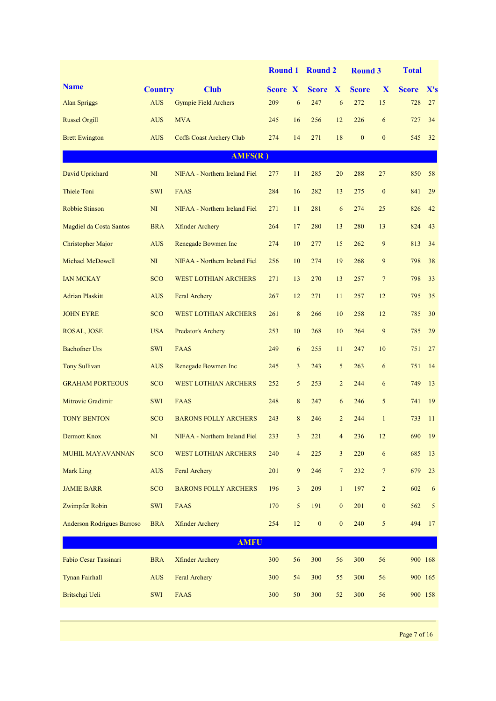|                                   |                |                                   | <b>Round 1</b> |                         | <b>Round 2</b>   |                | <b>Round 3</b> |                  | <b>Total</b> |         |
|-----------------------------------|----------------|-----------------------------------|----------------|-------------------------|------------------|----------------|----------------|------------------|--------------|---------|
| <b>Name</b>                       | <b>Country</b> | <b>Club</b>                       | <b>Score X</b> |                         | Score X          |                | <b>Score</b>   | X                | <b>Score</b> | X's     |
| <b>Alan Spriggs</b>               | <b>AUS</b>     | <b>Gympie Field Archers</b>       | 209            | 6                       | 247              | 6              | 272            | 15               | 728          | 27      |
| <b>Russel Orgill</b>              | <b>AUS</b>     | <b>MVA</b>                        | 245            | 16                      | 256              | 12             | 226            | 6                | 727          | 34      |
| <b>Brett Ewington</b>             | <b>AUS</b>     | <b>Coffs Coast Archery Club</b>   | 274            | 14                      | 271              | 18             | $\mathbf{0}$   | $\mathbf{0}$     | 545          | 32      |
|                                   |                | AMFS(R)                           |                |                         |                  |                |                |                  |              |         |
| David Uprichard                   | NI             | NIFAA - Northern Ireland Fiel     | 277            | 11                      | 285              | 20             | 288            | 27               | 850          | 58      |
| <b>Thiele Toni</b>                | <b>SWI</b>     | <b>FAAS</b>                       | 284            | 16                      | 282              | 13             | 275            | $\boldsymbol{0}$ | 841          | 29      |
| <b>Robbie Stinson</b>             | NI             | NIFAA - Northern Ireland Fiel     | 271            | 11                      | 281              | 6              | 274            | 25               | 826          | 42      |
| Magdiel da Costa Santos           | <b>BRA</b>     | <b>Xfinder Archery</b>            | 264            | 17                      | 280              | 13             | 280            | 13               | 824          | 43      |
| <b>Christopher Major</b>          | <b>AUS</b>     | Renegade Bowmen Inc               | 274            | 10                      | 277              | 15             | 262            | 9                | 813          | 34      |
| Michael McDowell                  | NI             | NIFAA - Northern Ireland Fiel     | 256            | 10                      | 274              | 19             | 268            | 9                | 798          | 38      |
| <b>IAN MCKAY</b>                  | <b>SCO</b>     | <b>WEST LOTHIAN ARCHERS</b>       | 271            | 13                      | 270              | 13             | 257            | $\overline{7}$   | 798          | 33      |
| <b>Adrian Plaskitt</b>            | <b>AUS</b>     | Feral Archery                     | 267            | 12                      | 271              | 11             | 257            | 12               | 795          | 35      |
| <b>JOHN EYRE</b>                  | <b>SCO</b>     | <b>WEST LOTHIAN ARCHERS</b>       | 261            | 8                       | 266              | 10             | 258            | 12               | 785          | 30      |
| ROSAL, JOSE                       | <b>USA</b>     | Predator's Archery                | 253            | 10                      | 268              | 10             | 264            | 9                | 785          | 29      |
| <b>Bachofner Urs</b>              | SWI            | <b>FAAS</b>                       | 249            | 6                       | 255              | 11             | 247            | 10               | 751          | 27      |
| <b>Tony Sullivan</b>              | <b>AUS</b>     | Renegade Bowmen Inc               | 245            | 3                       | 243              | 5              | 263            | 6                | 751          | 14      |
| <b>GRAHAM PORTEOUS</b>            | <b>SCO</b>     | <b>WEST LOTHIAN ARCHERS</b>       | 252            | 5                       | 253              | $\overline{2}$ | 244            | 6                | 749          | 13      |
| Mitrovic Gradimir                 | <b>SWI</b>     | <b>FAAS</b>                       | 248            | 8                       | 247              | 6              | 246            | 5                | 741          | 19      |
| <b>TONY BENTON</b>                | <b>SCO</b>     | <b>BARONS FOLLY ARCHERS</b>       | 243            | 8                       | 246              | $\overline{2}$ | 244            | $\mathbf{1}$     | 733          | 11      |
| Dermott Knox                      | NI             | NIFAA - Northern Ireland Fiel 233 |                | $\overline{\mathbf{3}}$ | 221              | $\overline{4}$ | 236 12         |                  | 690          | 19      |
| MUHIL MAYAVANNAN                  | <b>SCO</b>     | WEST LOTHIAN ARCHERS              | 240            | $\overline{4}$          | 225              | $\overline{3}$ | 220            | $\sqrt{6}$       | 685          | 13      |
| <b>Mark Ling</b>                  | <b>AUS</b>     | Feral Archery                     | 201            | 9                       | 246              | $\overline{7}$ | 232            | $\overline{7}$   | 679          | 23      |
| <b>JAMIE BARR</b>                 | <b>SCO</b>     | <b>BARONS FOLLY ARCHERS</b>       | 196            | $\overline{3}$          | 209              | $\mathbf{1}$   | 197            | $\overline{2}$   | 602          | 6       |
| Zwimpfer Robin                    | SWI            | <b>FAAS</b>                       | 170            | 5                       | 191              | $\mathbf{0}$   | 201            | $\boldsymbol{0}$ | 562          | 5       |
| <b>Anderson Rodrigues Barroso</b> | <b>BRA</b>     | <b>Xfinder Archery</b>            | 254            | 12                      | $\boldsymbol{0}$ | $\mathbf{0}$   | 240            | 5                | 494          | 17      |
|                                   |                | <b>AMFU</b>                       |                |                         |                  |                |                |                  |              |         |
| Fabio Cesar Tassinari             | <b>BRA</b>     | <b>Xfinder Archery</b>            | 300            | 56                      | 300              | 56             | 300            | 56               |              | 900 168 |
| <b>Tynan Fairhall</b>             | <b>AUS</b>     | Feral Archery                     | 300            | 54                      | 300              | 55             | 300            | 56               |              | 900 165 |
| Britschgi Ueli                    | <b>SWI</b>     | <b>FAAS</b>                       | 300            | 50                      | 300              | 52             | 300            | 56               |              | 900 158 |
|                                   |                |                                   |                |                         |                  |                |                |                  |              |         |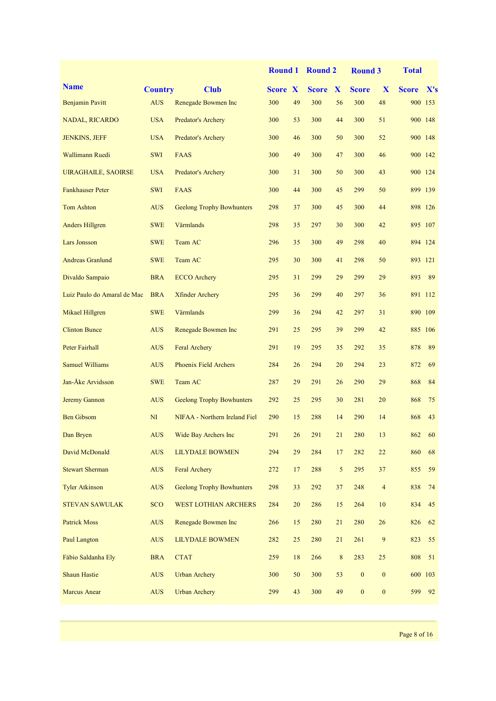|                             |                                  |                                  | <b>Round 1</b> |    | <b>Round 2</b> |                 | <b>Round 3</b>   |                  | <b>Total</b> |         |
|-----------------------------|----------------------------------|----------------------------------|----------------|----|----------------|-----------------|------------------|------------------|--------------|---------|
| <b>Name</b>                 | <b>Country</b>                   | <b>Club</b>                      | <b>Score X</b> |    | <b>Score</b>   | X               | <b>Score</b>     | X                | <b>Score</b> | X's     |
| <b>Benjamin Pavitt</b>      | <b>AUS</b>                       | Renegade Bowmen Inc              | 300            | 49 | 300            | 56              | 300              | 48               |              | 900 153 |
| <b>NADAL, RICARDO</b>       | <b>USA</b>                       | Predator's Archery               | 300            | 53 | 300            | 44              | 300              | 51               |              | 900 148 |
| <b>JENKINS, JEFF</b>        | <b>USA</b>                       | Predator's Archery               | 300            | 46 | 300            | 50              | 300              | 52               |              | 900 148 |
| <b>Wallimann Ruedi</b>      | <b>SWI</b>                       | <b>FAAS</b>                      | 300            | 49 | 300            | 47              | 300              | 46               |              | 900 142 |
| <b>UIRAGHAILE, SAOIRSE</b>  | <b>USA</b>                       | Predator's Archery               | 300            | 31 | 300            | 50              | 300              | 43               |              | 900 124 |
| <b>Fankhauser Peter</b>     | <b>SWI</b>                       | <b>FAAS</b>                      | 300            | 44 | 300            | 45              | 299              | 50               |              | 899 139 |
| <b>Tom Ashton</b>           | <b>AUS</b>                       | <b>Geelong Trophy Bowhunters</b> | 298            | 37 | 300            | 45              | 300              | 44               |              | 898 126 |
| <b>Anders Hillgren</b>      | <b>SWE</b>                       | Värmlands                        | 298            | 35 | 297            | 30              | 300              | 42               |              | 895 107 |
| Lars Jonsson                | <b>SWE</b>                       | Team AC                          | 296            | 35 | 300            | 49              | 298              | 40               |              | 894 124 |
| <b>Andreas Granlund</b>     | <b>SWE</b>                       | Team AC                          | 295            | 30 | 300            | 41              | 298              | 50               |              | 893 121 |
| Divaldo Sampaio             | <b>BRA</b>                       | <b>ECCO</b> Archery              | 295            | 31 | 299            | 29              | 299              | 29               | 893          | 89      |
| Luiz Paulo do Amaral de Mac | <b>BRA</b>                       | <b>Xfinder Archery</b>           | 295            | 36 | 299            | 40              | 297              | 36               |              | 891 112 |
| <b>Mikael Hillgren</b>      | <b>SWE</b>                       | Värmlands                        | 299            | 36 | 294            | 42              | 297              | 31               |              | 890 109 |
| <b>Clinton Bunce</b>        | <b>AUS</b>                       | Renegade Bowmen Inc              | 291            | 25 | 295            | 39              | 299              | 42               |              | 885 106 |
| <b>Peter Fairhall</b>       | <b>AUS</b>                       | Feral Archery                    | 291            | 19 | 295            | 35              | 292              | 35               | 878          | 89      |
| <b>Samuel Williams</b>      | <b>AUS</b>                       | <b>Phoenix Field Archers</b>     | 284            | 26 | 294            | 20              | 294              | 23               | 872          | 69      |
| Jan-Åke Arvidsson           | <b>SWE</b>                       | Team AC                          | 287            | 29 | 291            | 26              | 290              | 29               | 868          | 84      |
| <b>Jeremy Gannon</b>        | <b>AUS</b>                       | <b>Geelong Trophy Bowhunters</b> | 292            | 25 | 295            | 30              | 281              | 20               | 868          | 75      |
| <b>Ben Gibsom</b>           | NI                               | NIFAA - Northern Ireland Fiel    | 290            | 15 | 288            | 14              | 290              | 14               | 868          | 43      |
| Dan Bryen                   | AUS                              | Wide Bay Archers Inc             | 291            | 26 | 291            | 21              | 280              | 13               | 862          | 60      |
| David McDonald              | <b>AUS</b>                       | <b>LILYDALE BOWMEN</b>           | 294            | 29 | 284            | 17              | 282              | 22               | 860          | 68      |
| <b>Stewart Sherman</b>      | <b>AUS</b>                       | Feral Archery                    | 272            | 17 | 288            | $5\overline{)}$ | 295              | 37               | 855          | 59      |
| <b>Tyler Atkinson</b>       | <b>AUS</b>                       | <b>Geelong Trophy Bowhunters</b> | 298            | 33 | 292            | 37              | 248              | $\overline{4}$   | 838          | 74      |
| <b>STEVAN SAWULAK</b>       | <b>SCO</b>                       | WEST LOTHIAN ARCHERS             | 284            | 20 | 286            | 15              | 264              | $10\,$           | 834          | 45      |
| <b>Patrick Moss</b>         | <b>AUS</b>                       | Renegade Bowmen Inc              | 266            | 15 | 280            | 21              | 280              | 26               | 826          | 62      |
| Paul Langton                | <b>AUS</b>                       | <b>LILYDALE BOWMEN</b>           | 282            | 25 | 280            | 21              | 261              | $\overline{9}$   | 823          | 55      |
| Fábio Saldanha Ely          | <b>BRA</b>                       | <b>CTAT</b>                      | 259            | 18 | 266            | $\,8\,$         | 283              | 25               | 808          | 51      |
| <b>Shaun Hastie</b>         | $\mathbf{A}\mathbf{U}\mathbf{S}$ | <b>Urban Archery</b>             | 300            | 50 | 300            | 53              | $\boldsymbol{0}$ | $\boldsymbol{0}$ |              | 600 103 |
| <b>Marcus Anear</b>         | <b>AUS</b>                       | <b>Urban Archery</b>             | 299            | 43 | 300            | 49              | $\boldsymbol{0}$ | $\mathbf{0}$     | 599          | 92      |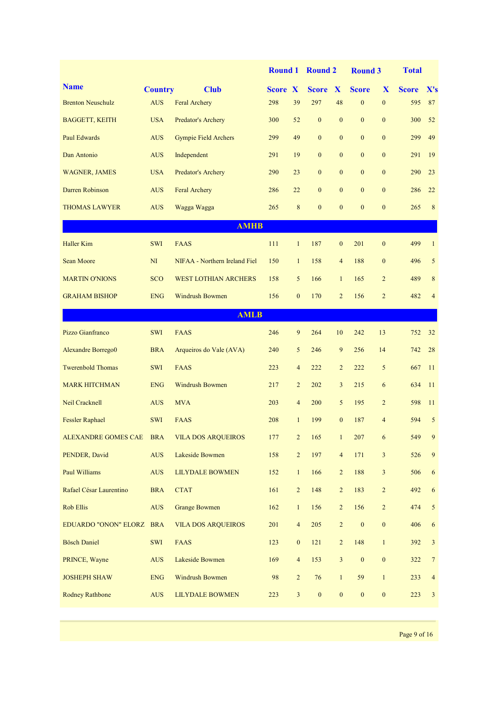|                           |                |                               |                |                         | Round 1 Round 2  |                  | <b>Round 3</b>   |                  | <b>Total</b> |                  |
|---------------------------|----------------|-------------------------------|----------------|-------------------------|------------------|------------------|------------------|------------------|--------------|------------------|
| <b>Name</b>               | <b>Country</b> | <b>Club</b>                   | <b>Score X</b> |                         | <b>Score</b>     | $\mathbf{X}$     | <b>Score</b>     | X                | <b>Score</b> | X's              |
| <b>Brenton Neuschulz</b>  | <b>AUS</b>     | Feral Archery                 | 298            | 39                      | 297              | 48               | $\mathbf{0}$     | $\mathbf{0}$     | 595          | 87               |
| <b>BAGGETT, KEITH</b>     | <b>USA</b>     | Predator's Archery            | 300            | 52                      | $\boldsymbol{0}$ | $\mathbf{0}$     | $\mathbf{0}$     | $\boldsymbol{0}$ | 300          | 52               |
| Paul Edwards              | <b>AUS</b>     | <b>Gympie Field Archers</b>   | 299            | 49                      | $\overline{0}$   | $\mathbf{0}$     | $\overline{0}$   | $\mathbf{0}$     | 299          | 49               |
| Dan Antonio               | <b>AUS</b>     | Independent                   | 291            | 19                      | $\mathbf{0}$     | $\mathbf{0}$     | $\overline{0}$   | $\mathbf{0}$     | 291          | 19               |
| <b>WAGNER, JAMES</b>      | <b>USA</b>     | Predator's Archery            | 290            | 23                      | $\mathbf{0}$     | $\mathbf{0}$     | $\overline{0}$   | $\mathbf{0}$     | 290          | 23               |
| Darren Robinson           | <b>AUS</b>     | Feral Archery                 | 286            | 22                      | $\mathbf{0}$     | $\mathbf{0}$     | $\overline{0}$   | $\mathbf{0}$     | 286          | 22               |
| <b>THOMAS LAWYER</b>      | <b>AUS</b>     | Wagga Wagga                   | 265            | 8                       | $\mathbf{0}$     | $\mathbf{0}$     | $\mathbf{0}$     | $\mathbf{0}$     | 265          | 8                |
|                           |                | <b>AMHB</b>                   |                |                         |                  |                  |                  |                  |              |                  |
| <b>Haller Kim</b>         | <b>SWI</b>     | <b>FAAS</b>                   | 111            | $\mathbf{1}$            | 187              | $\mathbf{0}$     | 201              | $\mathbf{0}$     | 499          | $\mathbf{1}$     |
| <b>Sean Moore</b>         | NI             | NIFAA - Northern Ireland Fiel | 150            | $\mathbf{1}$            | 158              | $\overline{4}$   | 188              | $\boldsymbol{0}$ | 496          | 5                |
| <b>MARTIN O'NIONS</b>     | <b>SCO</b>     | <b>WEST LOTHIAN ARCHERS</b>   | 158            | 5                       | 166              | $\mathbf{1}$     | 165              | $\overline{2}$   | 489          | $\bf 8$          |
| <b>GRAHAM BISHOP</b>      | <b>ENG</b>     | <b>Windrush Bowmen</b>        | 156            | $\mathbf{0}$            | 170              | $\overline{2}$   | 156              | $\overline{2}$   | 482          | $\overline{4}$   |
|                           |                | <b>AMLB</b>                   |                |                         |                  |                  |                  |                  |              |                  |
| Pizzo Gianfranco          | <b>SWI</b>     | <b>FAAS</b>                   | 246            | 9                       | 264              | 10               | 242              | 13               | 752          | 32               |
| <b>Alexandre Borrego0</b> | <b>BRA</b>     | Arqueiros do Vale (AVA)       | 240            | 5                       | 246              | 9                | 256              | 14               | 742          | 28               |
| <b>Twerenbold Thomas</b>  | <b>SWI</b>     | <b>FAAS</b>                   | 223            | $\overline{4}$          | 222              | $\overline{2}$   | 222              | 5                | 667          | 11               |
| <b>MARK HITCHMAN</b>      | <b>ENG</b>     | <b>Windrush Bowmen</b>        | 217            | $\overline{2}$          | 202              | $\overline{3}$   | 215              | 6                | 634          | 11               |
| Neil Cracknell            | <b>AUS</b>     | <b>MVA</b>                    | 203            | 4                       | 200              | 5                | 195              | $\overline{2}$   | 598          | 11               |
| <b>Fessler Raphael</b>    | <b>SWI</b>     | <b>FAAS</b>                   | 208            | $\mathbf{1}$            | 199              | $\mathbf{0}$     | 187              | $\overline{4}$   | 594          | 5                |
| ALEXANDRE GOMES CAE BRA   |                | <b>VILA DOS ARQUEIROS</b>     | 177            | $\overline{c}$          | 165              | $\mathbf{1}$     | 207              | 6                | 549          | 9                |
| PENDER, David             | <b>AUS</b>     | Lakeside Bowmen               | 158            | $\overline{2}$          | 197              | $\overline{4}$   | 171              | 3                | 526          | $\boldsymbol{9}$ |
| Paul Williams             | <b>AUS</b>     | <b>LILYDALE BOWMEN</b>        | 152            | $\mathbf{1}$            | 166              | $\overline{2}$   | 188              | 3                | 506          | $\sqrt{6}$       |
| Rafael César Laurentino   | <b>BRA</b>     | <b>CTAT</b>                   | 161            | $\overline{2}$          | 148              | $\overline{2}$   | 183              | $\overline{c}$   | 492          | 6                |
| Rob Ellis                 | <b>AUS</b>     | <b>Grange Bowmen</b>          | 162            | $\mathbf{1}$            | 156              | $\overline{2}$   | 156              | $\overline{2}$   | 474          | 5                |
| EDUARDO "ONON" ELORZ BRA  |                | <b>VILA DOS ARQUEIROS</b>     | 201            | $\overline{4}$          | 205              | $\overline{2}$   | $\boldsymbol{0}$ | $\boldsymbol{0}$ | 406          | 6                |
| <b>Bösch Daniel</b>       | <b>SWI</b>     | <b>FAAS</b>                   | 123            | $\mathbf{0}$            | 121              | $\overline{2}$   | 148              | $\mathbf{1}$     | 392          | $\mathfrak{Z}$   |
| PRINCE, Wayne             | <b>AUS</b>     | Lakeside Bowmen               | 169            | $\overline{4}$          | 153              | $\mathfrak{Z}$   | $\boldsymbol{0}$ | $\boldsymbol{0}$ | 322          | $\overline{7}$   |
| <b>JOSHEPH SHAW</b>       | <b>ENG</b>     | <b>Windrush Bowmen</b>        | 98             | $\overline{c}$          | 76               | $\mathbf{1}$     | 59               | $\mathbf{1}$     | 233          | $\overline{4}$   |
| <b>Rodney Rathbone</b>    | <b>AUS</b>     | <b>LILYDALE BOWMEN</b>        | 223            | $\overline{\mathbf{3}}$ | $\boldsymbol{0}$ | $\boldsymbol{0}$ | $\boldsymbol{0}$ | $\boldsymbol{0}$ | 223          | $\mathfrak{Z}$   |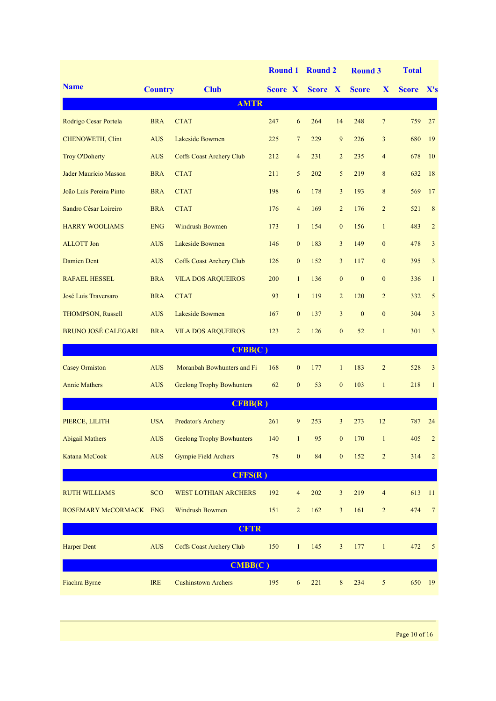|                            |                |                                  | <b>Round 1</b> |                | <b>Round 2</b> |                  | <b>Round 3</b> |                          | <b>Total</b> |                |
|----------------------------|----------------|----------------------------------|----------------|----------------|----------------|------------------|----------------|--------------------------|--------------|----------------|
| <b>Name</b>                | <b>Country</b> | <b>Club</b>                      | <b>Score X</b> |                | Score X        |                  | <b>Score</b>   | X                        | Score X's    |                |
|                            |                | <b>AMTR</b>                      |                |                |                |                  |                |                          |              |                |
| Rodrigo Cesar Portela      | <b>BRA</b>     | <b>CTAT</b>                      | 247            | 6              | 264            | 14               | 248            | $7\phantom{.0}$          | 759          | 27             |
| <b>CHENOWETH, Clint</b>    | <b>AUS</b>     | Lakeside Bowmen                  | 225            | $\overline{7}$ | 229            | 9                | 226            | 3                        | 680          | 19             |
| <b>Troy O'Doherty</b>      | <b>AUS</b>     | <b>Coffs Coast Archery Club</b>  | 212            | 4              | 231            | $\overline{2}$   | 235            | $\overline{4}$           | 678          | 10             |
| Jader Maurício Masson      | <b>BRA</b>     | <b>CTAT</b>                      | 211            | 5              | 202            | 5                | 219            | 8                        | 632          | 18             |
| João Luís Pereira Pinto    | <b>BRA</b>     | <b>CTAT</b>                      | 198            | 6              | 178            | $\overline{3}$   | 193            | 8                        | 569          | 17             |
| Sandro César Loireiro      | <b>BRA</b>     | <b>CTAT</b>                      | 176            | $\overline{4}$ | 169            | $\overline{2}$   | 176            | $\overline{2}$           | 521          | 8              |
| <b>HARRY WOOLIAMS</b>      | <b>ENG</b>     | <b>Windrush Bowmen</b>           | 173            | $\mathbf{1}$   | 154            | $\mathbf{0}$     | 156            | $\mathbf{1}$             | 483          | $\overline{2}$ |
| <b>ALLOTT</b> Jon          | <b>AUS</b>     | Lakeside Bowmen                  | 146            | $\mathbf{0}$   | 183            | $\overline{3}$   | 149            | $\mathbf{0}$             | 478          | 3              |
| <b>Damien Dent</b>         | <b>AUS</b>     | <b>Coffs Coast Archery Club</b>  | 126            | $\mathbf{0}$   | 152            | $\overline{3}$   | 117            | $\mathbf{0}$             | 395          | 3              |
| <b>RAFAEL HESSEL</b>       | <b>BRA</b>     | <b>VILA DOS ARQUEIROS</b>        | 200            | $\mathbf{1}$   | 136            | $\mathbf{0}$     | $\mathbf{0}$   | $\mathbf{0}$             | 336          | $\mathbf{1}$   |
| José Luis Traversaro       | <b>BRA</b>     | <b>CTAT</b>                      | 93             | $\mathbf{1}$   | 119            | $\overline{2}$   | 120            | $\overline{2}$           | 332          | 5              |
| THOMPSON, Russell          | <b>AUS</b>     | Lakeside Bowmen                  | 167            | $\mathbf{0}$   | 137            | 3                | $\mathbf{0}$   | $\mathbf{0}$             | 304          | 3              |
| <b>BRUNO JOSÉ CALEGARI</b> | <b>BRA</b>     | <b>VILA DOS ARQUEIROS</b>        | 123            | $\overline{2}$ | 126            | $\mathbf{0}$     | 52             | $\mathbf{1}$             | 301          | 3              |
|                            |                | CFBB(C)                          |                |                |                |                  |                |                          |              |                |
| <b>Casey Ormiston</b>      | <b>AUS</b>     | Moranbah Bowhunters and Fi       | 168            | $\mathbf{0}$   | 177            | $\mathbf{1}$     | 183            | $\overline{2}$           | 528          | 3              |
| <b>Annie Mathers</b>       | <b>AUS</b>     | <b>Geelong Trophy Bowhunters</b> | 62             | $\overline{0}$ | 53             | $\mathbf{0}$     | 103            | $\mathbf{1}$             | 218          | $\mathbf{1}$   |
|                            |                | CFBB(R)                          |                |                |                |                  |                |                          |              |                |
| PIERCE, LILITH             | <b>USA</b>     | Predator's Archery               | 261            | 9              | 253            | 3                | 273            | 12                       | 787          | 24             |
| <b>Abigail Mathers</b>     | <b>AUS</b>     | <b>Geelong Trophy Bowhunters</b> | 140            | $\mathbf{1}$   | 95             | $\boldsymbol{0}$ | 170            | $\mathbf{1}$             | 405          | $\overline{c}$ |
| Katana McCook              | <b>AUS</b>     | <b>Gympie Field Archers</b>      | 78             | $\mathbf{0}$   | 84             | $\mathbf{0}$     | 152            | $\overline{2}$           | 314          | $\overline{2}$ |
|                            |                | CFFS(R)                          |                |                |                |                  |                |                          |              |                |
| <b>RUTH WILLIAMS</b>       | <b>SCO</b>     | <b>WEST LOTHIAN ARCHERS</b>      | 192            | 4              | 202            | 3                | 219            | $\overline{\mathcal{A}}$ | 613          | 11             |
| ROSEMARY McCORMACK ENG     |                | <b>Windrush Bowmen</b>           | 151            | $\overline{c}$ | 162            | 3                | 161            | $\overline{c}$           | 474          | $\overline{7}$ |
|                            |                | <b>CFTR</b>                      |                |                |                |                  |                |                          |              |                |
| <b>Harper Dent</b>         | <b>AUS</b>     | <b>Coffs Coast Archery Club</b>  | 150            | $\mathbf{1}$   | 145            | 3                | 177            | $\mathbf{1}$             | 472          | 5              |
|                            |                | CMBB(C)                          |                |                |                |                  |                |                          |              |                |
| Fiachra Byrne              | <b>IRE</b>     | <b>Cushinstown Archers</b>       | 195            | 6              | 221            | 8                | 234            | 5                        | 650          | 19             |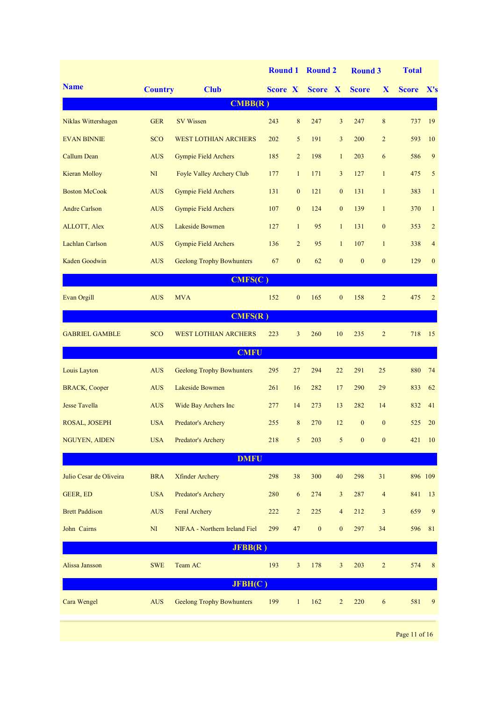|                         |                |                                  | <b>Round 1</b> |                | <b>Round 2</b>   |                | <b>Round 3</b>   |                  | <b>Total</b> |                |
|-------------------------|----------------|----------------------------------|----------------|----------------|------------------|----------------|------------------|------------------|--------------|----------------|
| <b>Name</b>             | <b>Country</b> | <b>Club</b>                      | <b>Score X</b> |                | Score X          |                | <b>Score</b>     | X                | Score X's    |                |
|                         |                | CMBB(R)                          |                |                |                  |                |                  |                  |              |                |
| Niklas Wittershagen     | <b>GER</b>     | <b>SV Wissen</b>                 | 243            | 8              | 247              | $\mathfrak{Z}$ | 247              | 8                | 737          | 19             |
| <b>EVAN BINNIE</b>      | <b>SCO</b>     | <b>WEST LOTHIAN ARCHERS</b>      | 202            | 5              | 191              | $\overline{3}$ | 200              | $\overline{2}$   | 593          | 10             |
| Callum Dean             | <b>AUS</b>     | <b>Gympie Field Archers</b>      | 185            | $\overline{2}$ | 198              | $\mathbf{1}$   | 203              | 6                | 586          | 9              |
| <b>Kieran Molloy</b>    | N <sub>I</sub> | Foyle Valley Archery Club        | 177            | $\mathbf{1}$   | 171              | $\overline{3}$ | 127              | $\mathbf{1}$     | 475          | 5              |
| <b>Boston McCook</b>    | <b>AUS</b>     | <b>Gympie Field Archers</b>      | 131            | $\mathbf{0}$   | 121              | $\mathbf{0}$   | 131              | $\mathbf{1}$     | 383          | $\mathbf{1}$   |
| <b>Andre Carlson</b>    | <b>AUS</b>     | <b>Gympie Field Archers</b>      | 107            | $\mathbf{0}$   | 124              | $\mathbf{0}$   | 139              | $\mathbf{1}$     | 370          | $\mathbf{1}$   |
| ALLOTT, Alex            | <b>AUS</b>     | Lakeside Bowmen                  | 127            | $\mathbf{1}$   | 95               | $\mathbf{1}$   | 131              | $\mathbf{0}$     | 353          | $\overline{2}$ |
| Lachlan Carlson         | <b>AUS</b>     | <b>Gympie Field Archers</b>      | 136            | $\overline{2}$ | 95               | $\mathbf{1}$   | 107              | $\mathbf{1}$     | 338          | $\overline{4}$ |
| Kaden Goodwin           | <b>AUS</b>     | <b>Geelong Trophy Bowhunters</b> | 67             | $\overline{0}$ | 62               | $\mathbf{0}$   | $\mathbf{0}$     | $\mathbf{0}$     | 129          | $\mathbf{0}$   |
|                         |                | CMFS(C)                          |                |                |                  |                |                  |                  |              |                |
| Evan Orgill             | <b>AUS</b>     | <b>MVA</b>                       | 152            | $\mathbf{0}$   | 165              | $\mathbf{0}$   | 158              | $\overline{2}$   | 475          | $\overline{2}$ |
|                         |                | CMFS(R)                          |                |                |                  |                |                  |                  |              |                |
| <b>GABRIEL GAMBLE</b>   | <b>SCO</b>     | <b>WEST LOTHIAN ARCHERS</b>      | 223            | 3              | 260              | 10             | 235              | $\overline{2}$   | 718          | 15             |
|                         |                | <b>CMFU</b>                      |                |                |                  |                |                  |                  |              |                |
| Louis Layton            | <b>AUS</b>     | <b>Geelong Trophy Bowhunters</b> | 295            | 27             | 294              | 22             | 291              | 25               | 880          | 74             |
| <b>BRACK</b> , Cooper   | <b>AUS</b>     | Lakeside Bowmen                  | 261            | 16             | 282              | 17             | 290              | 29               | 833          | 62             |
| <b>Jesse Tavella</b>    | <b>AUS</b>     | Wide Bay Archers Inc             | 277            | 14             | 273              | 13             | 282              | 14               | 832          | 41             |
| ROSAL, JOSEPH           | <b>USA</b>     | Predator's Archery               | 255            | 8              | 270              | 12             | $\mathbf{0}$     | $\mathbf{0}$     | 525          | 20             |
| <b>NGUYEN, AIDEN</b>    | <b>USA</b>     | Predator's Archery               | 218            | 5              | 203              | $\sqrt{5}$     | $\boldsymbol{0}$ | $\boldsymbol{0}$ | 421          | 10             |
|                         |                | <b>DMFU</b>                      |                |                |                  |                |                  |                  |              |                |
| Julio Cesar de Oliveira | <b>BRA</b>     | <b>Xfinder Archery</b>           | 298            | 38             | 300              | 40             | 298              | 31               | 896 109      |                |
| GEER, ED                | <b>USA</b>     | Predator's Archery               | 280            | 6              | 274              | 3              | 287              | 4                | 841          | 13             |
| <b>Brett Paddison</b>   | <b>AUS</b>     | Feral Archery                    | 222            | $\overline{c}$ | 225              | $\overline{4}$ | 212              | 3                | 659          | 9              |
| John Cairns             | N <sub>I</sub> | NIFAA - Northern Ireland Fiel    | 299            | 47             | $\boldsymbol{0}$ | $\mathbf{0}$   | 297              | 34               | 596          | 81             |
|                         |                | JFBB(R)                          |                |                |                  |                |                  |                  |              |                |
| Alissa Jansson          | <b>SWE</b>     | Team AC                          | 193            | 3              | 178              | 3              | 203              | $\overline{c}$   | 574          | 8              |
|                         |                | JFBH(C)                          |                |                |                  |                |                  |                  |              |                |
| Cara Wengel             | <b>AUS</b>     | <b>Geelong Trophy Bowhunters</b> | 199            | $\mathbf{1}$   | 162              | $\overline{c}$ | $220\,$          | 6                | 581          | 9              |
|                         |                |                                  |                |                |                  |                |                  |                  |              |                |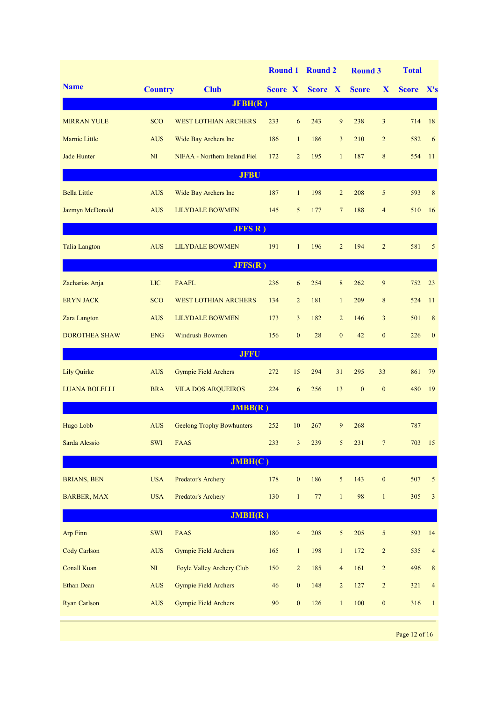|                      |                                  |                                  |                |                  | <b>Round 1 Round 2</b> |                 | <b>Round 3</b> |                  | <b>Total</b> |                |
|----------------------|----------------------------------|----------------------------------|----------------|------------------|------------------------|-----------------|----------------|------------------|--------------|----------------|
| <b>Name</b>          | <b>Country</b>                   | <b>Club</b>                      | <b>Score X</b> |                  | Score X                |                 | <b>Score</b>   | X                | Score X's    |                |
|                      |                                  | JFBH(R)                          |                |                  |                        |                 |                |                  |              |                |
| <b>MIRRAN YULE</b>   | <b>SCO</b>                       | <b>WEST LOTHIAN ARCHERS</b>      | 233            | 6                | 243                    | 9               | 238            | $\overline{3}$   | 714          | 18             |
| Marnie Little        | <b>AUS</b>                       | Wide Bay Archers Inc             | 186            | $\mathbf{1}$     | 186                    | $\overline{3}$  | 210            | $\overline{2}$   | 582          | 6              |
| <b>Jade Hunter</b>   | $\mathbf{N}\mathbf{I}$           | NIFAA - Northern Ireland Fiel    | 172            | $\overline{2}$   | 195                    | $\mathbf{1}$    | 187            | 8                | 554          | 11             |
|                      |                                  | <b>JFBU</b>                      |                |                  |                        |                 |                |                  |              |                |
| <b>Bella Little</b>  | <b>AUS</b>                       | Wide Bay Archers Inc             | 187            | $\mathbf{1}$     | 198                    | $\overline{2}$  | 208            | 5                | 593          | 8              |
| Jazmyn McDonald      | <b>AUS</b>                       | <b>LILYDALE BOWMEN</b>           | 145            | 5                | 177                    | $7\overline{ }$ | 188            | $\overline{4}$   | 510          | 16             |
|                      |                                  | <b>JFFSR</b> )                   |                |                  |                        |                 |                |                  |              |                |
| <b>Talia Langton</b> | <b>AUS</b>                       | <b>LILYDALE BOWMEN</b>           | 191            | $\mathbf{1}$     | 196                    | 2               | 194            | $\overline{2}$   | 581          | 5              |
|                      |                                  | JFFS(R)                          |                |                  |                        |                 |                |                  |              |                |
| Zacharias Anja       | <b>LIC</b>                       | <b>FAAFL</b>                     | 236            | 6                | 254                    | 8               | 262            | 9                | 752          | 23             |
| <b>ERYN JACK</b>     | <b>SCO</b>                       | <b>WEST LOTHIAN ARCHERS</b>      | 134            | $\overline{2}$   | 181                    | $\mathbf{1}$    | 209            | 8                | 524          | 11             |
| Zara Langton         | <b>AUS</b>                       | <b>LILYDALE BOWMEN</b>           | 173            | $\overline{3}$   | 182                    | $\overline{2}$  | 146            | $\overline{3}$   | 501          | 8              |
| <b>DOROTHEA SHAW</b> | <b>ENG</b>                       | <b>Windrush Bowmen</b>           | 156            | $\overline{0}$   | 28                     | $\mathbf{0}$    | 42             | $\mathbf{0}$     | 226          | $\mathbf{0}$   |
|                      |                                  | <b>JFFU</b>                      |                |                  |                        |                 |                |                  |              |                |
| <b>Lily Quirke</b>   | <b>AUS</b>                       | <b>Gympie Field Archers</b>      | 272            | 15               | 294                    | 31              | 295            | 33               | 861          | 79             |
| <b>LUANA BOLELLI</b> | <b>BRA</b>                       | <b>VILA DOS ARQUEIROS</b>        | 224            | 6                | 256                    | 13              | $\mathbf{0}$   | $\boldsymbol{0}$ | 480          | 19             |
|                      |                                  | JMBB(R)                          |                |                  |                        |                 |                |                  |              |                |
| Hugo Lobb            | <b>AUS</b>                       | <b>Geelong Trophy Bowhunters</b> | 252            | 10               | 267                    | 9               | 268            |                  | 787          |                |
| Sarda Alessio        | <b>SWI</b>                       | <b>FAAS</b>                      | 233            | 3                | 239                    | 5               | 231            | $\overline{7}$   | 703          | 15             |
|                      |                                  | JMBH(C)                          |                |                  |                        |                 |                |                  |              |                |
| <b>BRIANS, BEN</b>   | <b>USA</b>                       | Predator's Archery               | 178            | $\boldsymbol{0}$ | 186                    | $5\overline{)}$ | 143            | $\boldsymbol{0}$ | 507          | 5              |
| <b>BARBER, MAX</b>   | <b>USA</b>                       | Predator's Archery               | 130            | $\mathbf{1}$     | 77                     | $\mathbf{1}$    | 98             | $\mathbf{1}$     | 305          | $\mathfrak{Z}$ |
|                      |                                  | JMBH(R)                          |                |                  |                        |                 |                |                  |              |                |
| Arp Finn             | SWI                              | <b>FAAS</b>                      | 180            | $\overline{4}$   | 208                    | 5               | 205            | 5                | 593          | 14             |
| Cody Carlson         | <b>AUS</b>                       | <b>Gympie Field Archers</b>      | 165            | $\mathbf{1}$     | 198                    | $\mathbf{1}$    | 172            | $\overline{c}$   | 535          | $\overline{4}$ |
| <b>Conall Kuan</b>   | $\rm{NI}$                        | Foyle Valley Archery Club        | 150            | $\overline{c}$   | 185                    | $\overline{4}$  | 161            | $\overline{c}$   | 496          | $\bf 8$        |
| <b>Ethan Dean</b>    | <b>AUS</b>                       | <b>Gympie Field Archers</b>      | 46             | $\boldsymbol{0}$ | 148                    | $\overline{c}$  | 127            | $\overline{c}$   | 321          | $\overline{4}$ |
| <b>Ryan Carlson</b>  | $\mathbf{A}\mathbf{U}\mathbf{S}$ | <b>Gympie Field Archers</b>      | 90             | $\boldsymbol{0}$ | 126                    | $\mathbf{1}$    | 100            | $\boldsymbol{0}$ | 316          | $\mathbf{1}$   |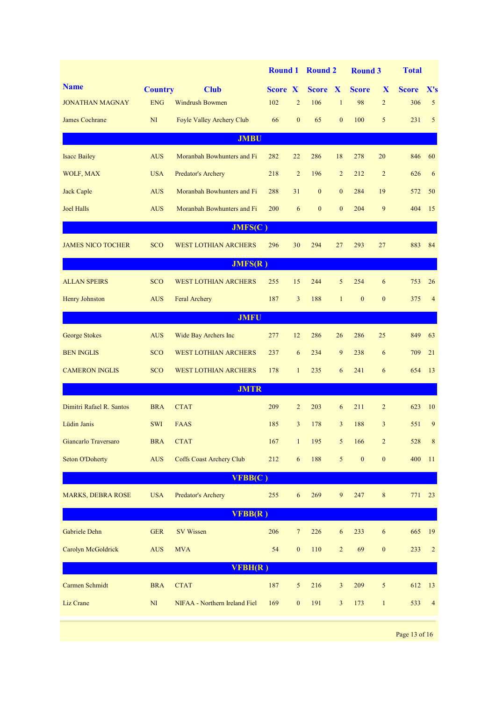|                          |                        |                                 | <b>Round 1 Round 2</b> |                  |                |                | <b>Round 3</b>   |                  | <b>Total</b> |                |
|--------------------------|------------------------|---------------------------------|------------------------|------------------|----------------|----------------|------------------|------------------|--------------|----------------|
| <b>Name</b>              | <b>Country</b>         | <b>Club</b>                     | <b>Score X</b>         |                  | <b>Score X</b> |                | <b>Score</b>     | X                | <b>Score</b> | X's            |
| <b>JONATHAN MAGNAY</b>   | <b>ENG</b>             | <b>Windrush Bowmen</b>          | 102                    | $\overline{2}$   | 106            | $\mathbf{1}$   | 98               | $\overline{2}$   | 306          | 5              |
| James Cochrane           | N <sub>I</sub>         | Foyle Valley Archery Club       | 66                     | $\overline{0}$   | 65             | $\mathbf{0}$   | 100              | 5                | 231          | 5              |
| <b>JMBU</b>              |                        |                                 |                        |                  |                |                |                  |                  |              |                |
| <b>Isacc Bailey</b>      | <b>AUS</b>             | Moranbah Bowhunters and Fi      | 282                    | 22               | 286            | 18             | 278              | 20               | 846          | 60             |
| WOLF, MAX                | <b>USA</b>             | Predator's Archery              | 218                    | $\overline{2}$   | 196            | $\overline{2}$ | 212              | $\overline{2}$   | 626          | 6              |
| <b>Jack Caple</b>        | <b>AUS</b>             | Moranbah Bowhunters and Fi      | 288                    | 31               | $\mathbf{0}$   | $\mathbf{0}$   | 284              | 19               | 572          | 50             |
| <b>Joel Halls</b>        | <b>AUS</b>             | Moranbah Bowhunters and Fi      | 200                    | 6                | $\mathbf{0}$   | $\mathbf{0}$   | 204              | 9                | 404          | 15             |
|                          |                        | JMFS(C)                         |                        |                  |                |                |                  |                  |              |                |
| <b>JAMES NICO TOCHER</b> | <b>SCO</b>             | <b>WEST LOTHIAN ARCHERS</b>     | 296                    | 30               | 294            | 27             | 293              | 27               | 883          | 84             |
|                          |                        | JMFS(R)                         |                        |                  |                |                |                  |                  |              |                |
| <b>ALLAN SPEIRS</b>      | <b>SCO</b>             | <b>WEST LOTHIAN ARCHERS</b>     | 255                    | 15               | 244            | 5              | 254              | 6                | 753          | 26             |
| <b>Henry Johnston</b>    | <b>AUS</b>             | Feral Archery                   | 187                    | 3                | 188            | $\mathbf{1}$   | $\mathbf{0}$     | $\boldsymbol{0}$ | 375          | $\overline{4}$ |
| <b>JMFU</b>              |                        |                                 |                        |                  |                |                |                  |                  |              |                |
| <b>George Stokes</b>     | <b>AUS</b>             | Wide Bay Archers Inc            | 277                    | 12               | 286            | 26             | 286              | 25               | 849          | 63             |
| <b>BEN INGLIS</b>        | <b>SCO</b>             | <b>WEST LOTHIAN ARCHERS</b>     | 237                    | 6                | 234            | 9              | 238              | 6                | 709          | 21             |
| <b>CAMERON INGLIS</b>    | <b>SCO</b>             | <b>WEST LOTHIAN ARCHERS</b>     | 178                    | $\mathbf{1}$     | 235            | 6              | 241              | 6                | 654          | 13             |
|                          |                        | <b>JMTR</b>                     |                        |                  |                |                |                  |                  |              |                |
| Dimitri Rafael R. Santos | <b>BRA</b>             | <b>CTAT</b>                     | 209                    | $\overline{2}$   | 203            | 6              | 211              | $\overline{2}$   | 623          | 10             |
| Lüdin Janis              | <b>SWI</b>             | <b>FAAS</b>                     | 185                    | $\overline{3}$   | 178            | $\overline{3}$ | 188              | 3                | 551          | 9              |
| Giancarlo Traversaro     | <b>BRA</b>             | <b>CTAT</b>                     | 167                    | $\mathbf{1}$     | 195            | 5              | 166              | $\overline{c}$   | 528          | $8\phantom{1}$ |
| <b>Seton O'Doherty</b>   | <b>AUS</b>             | <b>Coffs Coast Archery Club</b> | 212                    | 6                | 188            | $\mathfrak{S}$ | $\boldsymbol{0}$ | $\boldsymbol{0}$ | 400          | 11             |
|                          |                        | VFBB(C)                         |                        |                  |                |                |                  |                  |              |                |
| <b>MARKS, DEBRA ROSE</b> | <b>USA</b>             | Predator's Archery              | 255                    | 6                | 269            | 9              | 247              | $\,$ $\,$        | 771          | 23             |
|                          |                        | VFBB(R)                         |                        |                  |                |                |                  |                  |              |                |
| Gabriele Dehn            | ${\tt GER}$            | <b>SV Wissen</b>                | 206                    | $\overline{7}$   | 226            | 6              | 233              | 6                | 665          | 19             |
| Carolyn McGoldrick       | <b>AUS</b>             | <b>MVA</b>                      | 54                     | $\boldsymbol{0}$ | 110            | $\overline{c}$ | 69               | $\boldsymbol{0}$ | 233          | $\overline{2}$ |
| VFBH(R)                  |                        |                                 |                        |                  |                |                |                  |                  |              |                |
| Carmen Schmidt           | <b>BRA</b>             | <b>CTAT</b>                     | 187                    | 5                | 216            | 3              | 209              | 5                | 612          | 13             |
| Liz Crane                | $\mathbf{N}\mathbf{I}$ | NIFAA - Northern Ireland Fiel   | 169                    | $\boldsymbol{0}$ | 191            | $\mathfrak{Z}$ | 173              | $\mathbf{1}$     | 533          | $\overline{4}$ |
|                          |                        |                                 |                        |                  |                |                |                  |                  |              |                |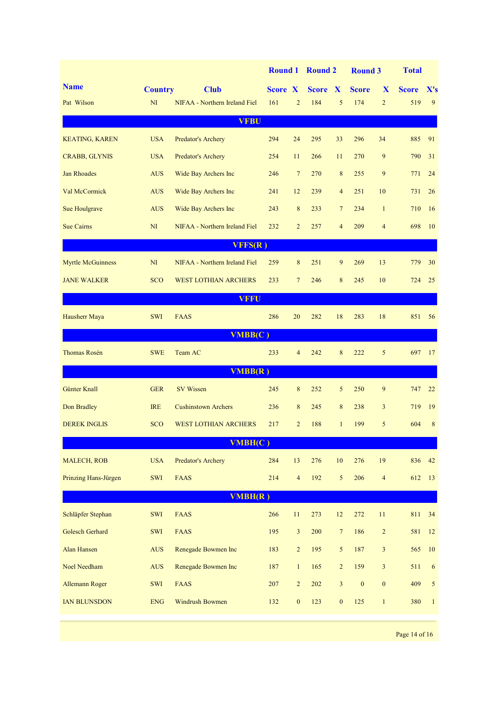|                          |                |                               |                |                  | <b>Round 1 Round 2</b> |                  | <b>Round 3</b> |                          | <b>Total</b> |                 |  |  |
|--------------------------|----------------|-------------------------------|----------------|------------------|------------------------|------------------|----------------|--------------------------|--------------|-----------------|--|--|
| <b>Name</b>              | <b>Country</b> | <b>Club</b>                   | <b>Score X</b> |                  | Score X                |                  | <b>Score</b>   | X                        | <b>Score</b> | $\mathbf{X}$ 's |  |  |
| Pat Wilson               | NI             | NIFAA - Northern Ireland Fiel | 161            | $\overline{2}$   | 184                    | 5                | 174            | $\overline{2}$           | 519          | 9               |  |  |
| <b>VFBU</b>              |                |                               |                |                  |                        |                  |                |                          |              |                 |  |  |
| <b>KEATING, KAREN</b>    | <b>USA</b>     | Predator's Archery            | 294            | 24               | 295                    | 33               | 296            | 34                       | 885          | 91              |  |  |
| <b>CRABB, GLYNIS</b>     | <b>USA</b>     | Predator's Archery            | 254            | 11               | 266                    | 11               | 270            | 9                        | 790          | 31              |  |  |
| <b>Jan Rhoades</b>       | <b>AUS</b>     | Wide Bay Archers Inc          | 246            | $\overline{7}$   | 270                    | 8                | 255            | 9                        | 771          | 24              |  |  |
| Val McCormick            | <b>AUS</b>     | Wide Bay Archers Inc          | 241            | 12               | 239                    | $\overline{4}$   | 251            | 10                       | 731          | 26              |  |  |
| Sue Houlgrave            | <b>AUS</b>     | Wide Bay Archers Inc          | 243            | 8                | 233                    | $7\overline{ }$  | 234            | $\mathbf{1}$             | 710          | 16              |  |  |
| <b>Sue Cairns</b>        | N <sub>I</sub> | NIFAA - Northern Ireland Fiel | 232            | $\overline{2}$   | 257                    | $\overline{4}$   | 209            | $\overline{4}$           | 698          | 10              |  |  |
|                          |                | VFFS(R)                       |                |                  |                        |                  |                |                          |              |                 |  |  |
| <b>Myrtle McGuinness</b> | N <sub>I</sub> | NIFAA - Northern Ireland Fiel | 259            | 8                | 251                    | 9                | 269            | 13                       | 779          | 30              |  |  |
| <b>JANE WALKER</b>       | <b>SCO</b>     | <b>WEST LOTHIAN ARCHERS</b>   | 233            | $\tau$           | 246                    | 8                | 245            | 10                       | 724          | 25              |  |  |
|                          |                | <b>VFFU</b>                   |                |                  |                        |                  |                |                          |              |                 |  |  |
| Hausherr Maya            | <b>SWI</b>     | <b>FAAS</b>                   | 286            | 20               | 282                    | 18               | 283            | 18                       | 851          | 56              |  |  |
|                          |                | VMBB(C)                       |                |                  |                        |                  |                |                          |              |                 |  |  |
| <b>Thomas Rosén</b>      | <b>SWE</b>     | Team AC                       | 233            | $\overline{4}$   | 242                    | 8                | 222            | 5                        | 697          | 17              |  |  |
|                          |                | VMBB(R)                       |                |                  |                        |                  |                |                          |              |                 |  |  |
| <b>Günter Knall</b>      | <b>GER</b>     | <b>SV Wissen</b>              | 245            | 8                | 252                    | 5                | 250            | 9                        | 747          | 22              |  |  |
| Don Bradley              | <b>IRE</b>     | <b>Cushinstown Archers</b>    | 236            | 8                | 245                    | 8                | 238            | 3                        | 719          | 19              |  |  |
| <b>DEREK INGLIS</b>      | <b>SCO</b>     | <b>WEST LOTHIAN ARCHERS</b>   | 217            | $\overline{2}$   | 188                    | $\mathbf{1}$     | 199            | 5                        | 604          | 8               |  |  |
|                          |                | VMBH(C)                       |                |                  |                        |                  |                |                          |              |                 |  |  |
| <b>MALECH, ROB</b>       | <b>USA</b>     | Predator's Archery            | 284            | 13               | 276                    | $10\,$           | 276            | 19                       | 836          | 42              |  |  |
| Prinzing Hans-Jürgen     | <b>SWI</b>     | <b>FAAS</b>                   | 214            | $\overline{4}$   | 192                    | 5                | 206            | $\overline{\mathcal{A}}$ | 612          | 13              |  |  |
|                          |                | VMBH(R)                       |                |                  |                        |                  |                |                          |              |                 |  |  |
| Schläpfer Stephan        | SWI            | <b>FAAS</b>                   | 266            | 11               | 273                    | 12               | 272            | $1\,1$                   | 811          | 34              |  |  |
| <b>Golesch Gerhard</b>   | SWI            | <b>FAAS</b>                   | 195            | $\mathfrak{Z}$   | 200                    | $\overline{7}$   | 186            | $\overline{c}$           | 581          | 12              |  |  |
| Alan Hansen              | <b>AUS</b>     | Renegade Bowmen Inc           | 183            | $\overline{2}$   | 195                    | $\mathfrak{S}$   | 187            | 3                        | 565          | 10              |  |  |
| Noel Needham             | <b>AUS</b>     | Renegade Bowmen Inc           | 187            | $\mathbf{1}$     | 165                    | $\overline{2}$   | 159            | 3                        | 511          | 6               |  |  |
| <b>Allemann Roger</b>    | SWI            | <b>FAAS</b>                   | 207            | $\overline{2}$   | 202                    | $\mathfrak{Z}$   | $\mathbf{0}$   | $\boldsymbol{0}$         | 409          | $\sqrt{5}$      |  |  |
| <b>IAN BLUNSDON</b>      | <b>ENG</b>     | <b>Windrush Bowmen</b>        | 132            | $\boldsymbol{0}$ | 123                    | $\boldsymbol{0}$ | 125            | $\mathbf{1}$             | 380          | $\mathbf{1}$    |  |  |
|                          |                |                               |                |                  |                        |                  |                |                          |              |                 |  |  |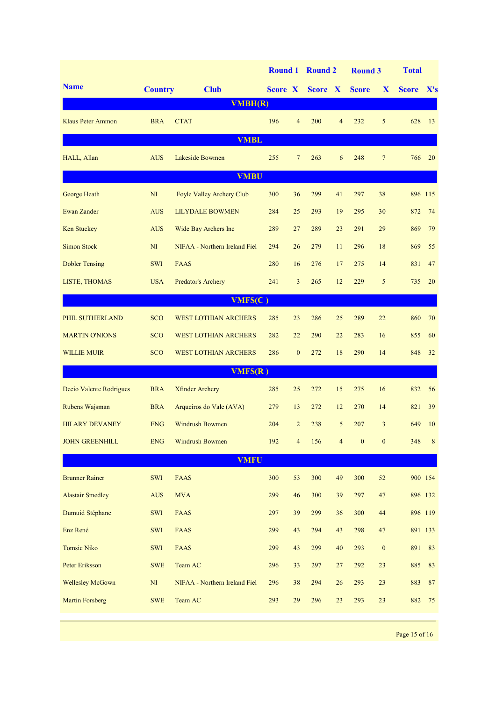|                          |                        |                               |                |                          | Round 1 Round 2 |                | <b>Round 3</b>   |                  | <b>Total</b> |         |
|--------------------------|------------------------|-------------------------------|----------------|--------------------------|-----------------|----------------|------------------|------------------|--------------|---------|
| <b>Name</b>              | <b>Country</b>         | <b>Club</b>                   | <b>Score X</b> |                          | Score X         |                | <b>Score</b>     | X                | Score X's    |         |
|                          |                        | VMBH(R)                       |                |                          |                 |                |                  |                  |              |         |
| <b>Klaus Peter Ammon</b> | <b>BRA</b>             | <b>CTAT</b>                   | 196            | $\overline{4}$           | 200             | $\overline{4}$ | 232              | 5                | 628          | 13      |
|                          |                        | <b>VMBL</b>                   |                |                          |                 |                |                  |                  |              |         |
| HALL, Allan              | <b>AUS</b>             | Lakeside Bowmen               | 255            | 7                        | 263             | 6              | 248              | $7\phantom{.0}$  | 766          | 20      |
|                          |                        | <b>VMBU</b>                   |                |                          |                 |                |                  |                  |              |         |
| <b>George Heath</b>      | NI                     | Foyle Valley Archery Club     | 300            | 36                       | 299             | 41             | 297              | 38               |              | 896 115 |
| Ewan Zander              | <b>AUS</b>             | <b>LILYDALE BOWMEN</b>        | 284            | 25                       | 293             | 19             | 295              | 30               | 872          | 74      |
| <b>Ken Stuckey</b>       | <b>AUS</b>             | Wide Bay Archers Inc          | 289            | 27                       | 289             | 23             | 291              | 29               | 869          | 79      |
| <b>Simon Stock</b>       | N <sub>I</sub>         | NIFAA - Northern Ireland Fiel | 294            | 26                       | 279             | 11             | 296              | 18               | 869          | 55      |
| <b>Dobler Tensing</b>    | <b>SWI</b>             | <b>FAAS</b>                   | 280            | 16                       | 276             | 17             | 275              | 14               | 831          | 47      |
| LISTE, THOMAS            | <b>USA</b>             | Predator's Archery            | 241            | 3                        | 265             | 12             | 229              | 5                | 735          | 20      |
|                          |                        | VMFS(C)                       |                |                          |                 |                |                  |                  |              |         |
| PHIL SUTHERLAND          | <b>SCO</b>             | <b>WEST LOTHIAN ARCHERS</b>   | 285            | 23                       | 286             | 25             | 289              | 22               | 860          | 70      |
| <b>MARTIN O'NIONS</b>    | <b>SCO</b>             | <b>WEST LOTHIAN ARCHERS</b>   | 282            | 22                       | 290             | 22             | 283              | 16               | 855          | 60      |
| <b>WILLIE MUIR</b>       | <b>SCO</b>             | <b>WEST LOTHIAN ARCHERS</b>   | 286            | $\mathbf{0}$             | 272             | 18             | 290              | 14               | 848          | 32      |
|                          |                        | VMFS(R)                       |                |                          |                 |                |                  |                  |              |         |
| Decio Valente Rodrigues  | <b>BRA</b>             | <b>Xfinder Archery</b>        | 285            | 25                       | 272             | 15             | 275              | 16               | 832          | 56      |
| Rubens Wajsman           | <b>BRA</b>             | Arqueiros do Vale (AVA)       | 279            | 13                       | 272             | 12             | 270              | 14               | 821          | 39      |
| <b>HILARY DEVANEY</b>    | <b>ENG</b>             | <b>Windrush Bowmen</b>        | 204            | $\overline{2}$           | 238             | 5              | 207              | 3                | 649          | 10      |
| <b>JOHN GREENHILL</b>    | <b>ENG</b>             | Windrush Bowmen               | 192            | $\overline{\mathcal{A}}$ | 156             | $\overline{4}$ | $\boldsymbol{0}$ | $\boldsymbol{0}$ | 348          | 8       |
|                          |                        | <b>VMFU</b>                   |                |                          |                 |                |                  |                  |              |         |
| <b>Brunner Rainer</b>    | <b>SWI</b>             | <b>FAAS</b>                   | 300            | 53                       | 300             | 49             | 300              | 52               |              | 900 154 |
| <b>Alastair Smedley</b>  | <b>AUS</b>             | <b>MVA</b>                    | 299            | 46                       | 300             | 39             | 297              | 47               |              | 896 132 |
| Dumuid Stéphane          | <b>SWI</b>             | <b>FAAS</b>                   | 297            | 39                       | 299             | 36             | 300              | 44               |              | 896 119 |
| Enz René                 | <b>SWI</b>             | <b>FAAS</b>                   | 299            | 43                       | 294             | 43             | 298              | 47               |              | 891 133 |
| <b>Tomsic Niko</b>       | <b>SWI</b>             | <b>FAAS</b>                   | 299            | 43                       | 299             | 40             | 293              | $\boldsymbol{0}$ | 891          | 83      |
| Peter Eriksson           | <b>SWE</b>             | Team AC                       | 296            | 33                       | 297             | 27             | 292              | 23               | 885          | 83      |
| <b>Wellesley McGown</b>  | $\mathbf{N}\mathbf{I}$ | NIFAA - Northern Ireland Fiel | 296            | 38                       | 294             | 26             | 293              | 23               | 883          | 87      |
| <b>Martin Forsberg</b>   | <b>SWE</b>             | Team AC                       | 293            | 29                       | 296             | 23             | 293              | 23               | 882          | 75      |